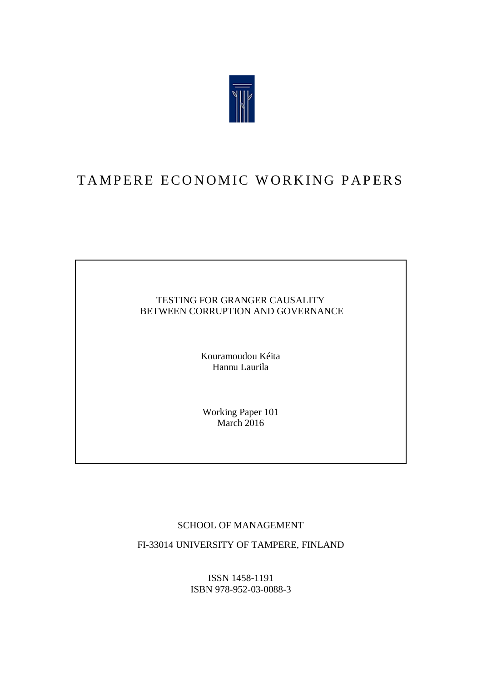

# TAMPERE ECONOMIC WORKING PAPERS

#### TESTING FOR GRANGER CAUSALITY BETWEEN CORRUPTION AND GOVERNANCE

Kouramoudou Kéita Hannu Laurila

Working Paper 101 March  $2016$ 

#### SCHOOL OF MANAGEMENT

FI-33014 UNIVERSITY OF TAMPERE, FINLAND

ISSN 1458-1191 ISBN 978-952-03-0088-3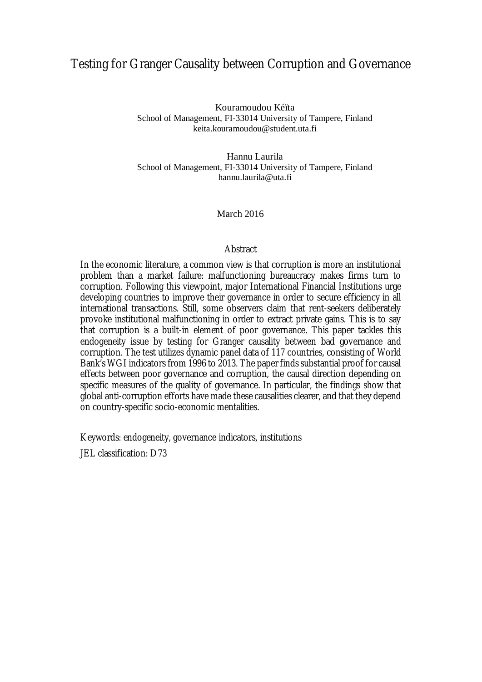### Testing for Granger Causality between Corruption and Governance

Kouramoudou Kéïta School of Management, FI-33014 University of Tampere, Finland keita.kouramoudou@student.uta.fi

Hannu Laurila School of Management, FI-33014 University of Tampere, Finland hannu.laurila@uta.fi

#### March 2016

#### **Abstract**

In the economic literature, a common view is that corruption is more an institutional problem than a market failure: malfunctioning bureaucracy makes firms turn to corruption. Following this viewpoint, major International Financial Institutions urge developing countries to improve their governance in order to secure efficiency in all international transactions. Still, some observers claim that rent-seekers deliberately provoke institutional malfunctioning in order to extract private gains. This is to say that corruption is a built-in element of poor governance. This paper tackles this endogeneity issue by testing for Granger causality between bad governance and corruption. The test utilizes dynamic panel data of 117 countries, consisting of World Bank's WGI indicators from 1996 to 2013. The paper finds substantial proof for causal effects between poor governance and corruption, the causal direction depending on specific measures of the quality of governance. In particular, the findings show that global anti-corruption efforts have made these causalities clearer, and that they depend on country-specific socio-economic mentalities.

Keywords: endogeneity, governance indicators, institutions

JEL classification: D73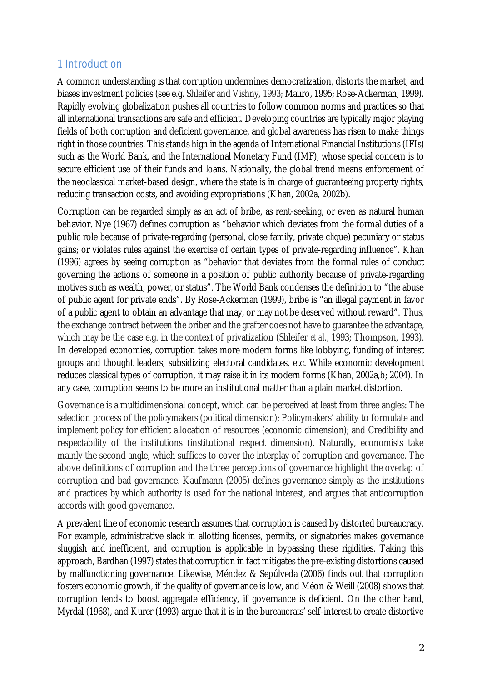### 1 Introduction

A common understanding is that corruption undermines democratization, distorts the market, and biases investment policies (see e.g. Shleifer and Vishny, 1993; Mauro, 1995; Rose-Ackerman, 1999). Rapidly evolving globalization pushes all countries to follow common norms and practices so that all international transactions are safe and efficient. Developing countries are typically major playing fields of both corruption and deficient governance, and global awareness has risen to make things right in those countries. This stands high in the agenda of International Financial Institutions (IFIs) such as the World Bank, and the International Monetary Fund (IMF), whose special concern is to secure efficient use of their funds and loans. Nationally, the global trend means enforcement of the neoclassical market-based design, where the state is in charge of guaranteeing property rights, reducing transaction costs, and avoiding expropriations (Khan, 2002a, 2002b).

Corruption can be regarded simply as an act of bribe, as rent-seeking, or even as natural human behavior. Nye (1967) defines corruption as "behavior which deviates from the formal duties of a public role because of private-regarding (personal, close family, private clique) pecuniary or status gains; or violates rules against the exercise of certain types of private-regarding influence". Khan (1996) agrees by seeing corruption as "behavior that deviates from the formal rules of conduct governing the actions of someone in a position of public authority because of private-regarding motives such as wealth, power, or status". The World Bank condenses the definition to "the abuse of public agent for private ends". By Rose-Ackerman (1999), bribe is "an illegal payment in favor of a public agent to obtain an advantage that may, or may not be deserved without reward". Thus, the exchange contract between the briber and the grafter does not have to guarantee the advantage, which may be the case e.g. in the context of privatization (Shleifer *et al.*, 1993; Thompson, 1993). In developed economies, corruption takes more modern forms like lobbying, funding of interest groups and thought leaders, subsidizing electoral candidates, etc. While economic development reduces classical types of corruption, it may raise it in its modern forms (Khan, 2002a,b; 2004). In any case, corruption seems to be more an institutional matter than a plain market distortion.

Governance is a multidimensional concept, which can be perceived at least from three angles: The selection process of the policymakers (political dimension); Policymakers' ability to formulate and implement policy for efficient allocation of resources (economic dimension); and Credibility and respectability of the institutions (institutional respect dimension). Naturally, economists take mainly the second angle, which suffices to cover the interplay of corruption and governance. The above definitions of corruption and the three perceptions of governance highlight the overlap of corruption and bad governance. Kaufmann (2005) defines governance simply as the institutions and practices by which authority is used for the national interest, and argues that anticorruption accords with good governance.

A prevalent line of economic research assumes that corruption is caused by distorted bureaucracy. For example, administrative slack in allotting licenses, permits, or signatories makes governance sluggish and inefficient, and corruption is applicable in bypassing these rigidities. Taking this approach, Bardhan (1997) states that corruption in fact mitigates the pre-existing distortions caused by malfunctioning governance. Likewise, Méndez & Sepúlveda (2006) finds out that corruption fosters economic growth, if the quality of governance is low, and Méon & Weill (2008) shows that corruption tends to boost aggregate efficiency, if governance is deficient. On the other hand, Myrdal (1968), and Kurer (1993) argue that it is in the bureaucrats' self-interest to create distortive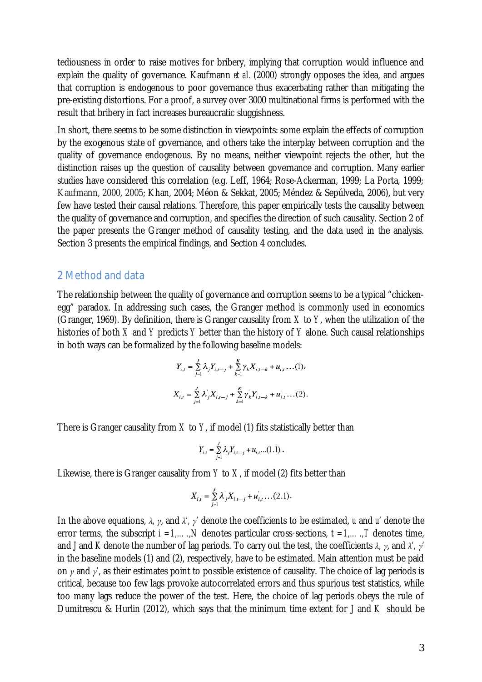tediousness in order to raise motives for bribery, implying that corruption would influence and explain the quality of governance. Kaufmann *et al.* (2000) strongly opposes the idea, and argues that corruption is endogenous to poor governance thus exacerbating rather than mitigating the pre-existing distortions. For a proof, a survey over 3000 multinational firms is performed with the result that bribery in fact increases bureaucratic sluggishness.

In short, there seems to be some distinction in viewpoints: some explain the effects of corruption by the exogenous state of governance, and others take the interplay between corruption and the quality of governance endogenous. By no means, neither viewpoint rejects the other, but the distinction raises up the question of causality between governance and corruption. Many earlier studies have considered this correlation (e.g. Leff, 1964; Rose-Ackerman, 1999; La Porta, 1999; Kaufmann, 2000, 2005; Khan, 2004; Méon & Sekkat, 2005; Méndez & Sepúlveda, 2006), but very few have tested their causal relations. Therefore, this paper empirically tests the causality between the quality of governance and corruption, and specifies the direction of such causality. Section 2 of the paper presents the Granger method of causality testing, and the data used in the analysis. Section 3 presents the empirical findings, and Section 4 concludes.

#### 2 Method and data

The relationship between the quality of governance and corruption seems to be a typical "chickenegg" paradox. In addressing such cases, the Granger method is commonly used in economics (Granger, 1969). By definition, there is Granger causality from *X* to *Y*, when the utilization of the histories of both *X* and *Y* predicts *Y* better than the history of *Y* alone. Such causal relationships in both ways can be formalized by the following baseline models:

$$
Y_{i,t} = \sum_{j=1}^{J} \lambda_j Y_{i,t-j} + \sum_{k=1}^{K} \gamma_k X_{i,t-k} + u_{i,t} \dots (1),
$$
  

$$
X_{i,t} = \sum_{j=1}^{J} \lambda_j X_{i,t-j} + \sum_{k=1}^{K} \gamma_k Y_{i,t-k} + u_{i,t} \dots (2).
$$

There is Granger causality from *X* to *Y*, if model (1) fits statistically better than

$$
Y_{i,t} = \sum_{j=1}^{J} \lambda_j Y_{i,t-j} + u_{i,t} \dots (1.1).
$$

Likewise, there is Granger causality from *Y* to *X*, if model (2) fits better than

$$
X_{i,t} = \sum_{j=1}^{J} \lambda_j X_{i,t-j} + u_{i,t}^{'} \dots (2.1).
$$

In the above equations, *λ, γ*, and *λ', γ'* denote the coefficients to be estimated, *u* and *u'* denote the error terms, the subscript  $i = 1, ..., N$  denotes particular cross-sections,  $t = 1, ..., T$  denotes time, and *J* and *K* denote the number of lag periods. To carry out the test, the coefficients *λ, γ*, and *λ', γ'* in the baseline models (1) and (2), respectively, have to be estimated. Main attention must be paid on *γ* and *γ'*, as their estimates point to possible existence of causality. The choice of lag periods is critical, because too few lags provoke autocorrelated errors and thus spurious test statistics, while too many lags reduce the power of the test. Here, the choice of lag periods obeys the rule of Dumitrescu & Hurlin (2012), which says that the minimum time extent for *J* and *K* should be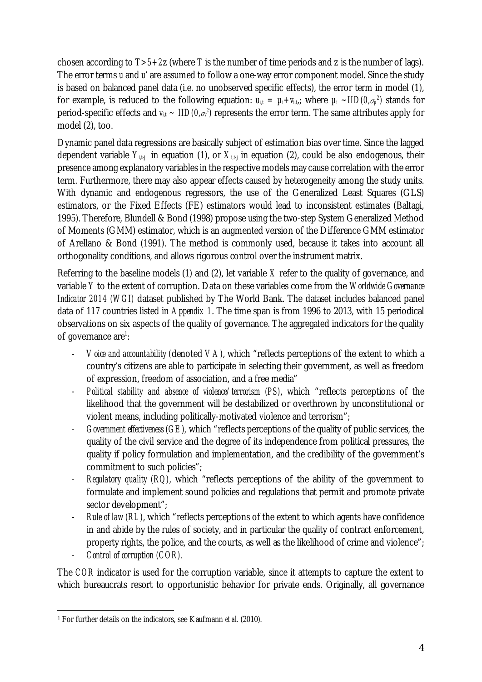chosen according to *T>5+2*z (where *T* is the number of time periods and z is the number of lags). The error terms *u* and *u'* are assumed to follow a one-way error component model. Since the study is based on balanced panel data (i.e. no unobserved specific effects), the error term in model (1), for example, is reduced to the following equation:  $u_{i,t} = \mu_i + v_{i,t_i}$ ; where  $\mu_i \sim \text{IID}(0,\sigma_\mu{}^2)$  stands for period-specific effects and *vi,t ~ IID(0,σ<sup>v</sup> 2 )* represents the error term. The same attributes apply for model (2), too.

Dynamic panel data regressions are basically subject of estimation bias over time. Since the lagged dependent variable  $Y_{i,t}$  in equation (1), or  $X_{i,t}$  in equation (2), could be also endogenous, their presence among explanatory variables in the respective models may cause correlation with the error term. Furthermore, there may also appear effects caused by heterogeneity among the study units. With dynamic and endogenous regressors, the use of the Generalized Least Squares (GLS) estimators, or the Fixed Effects (FE) estimators would lead to inconsistent estimates (Baltagi, 1995). Therefore, Blundell & Bond (1998) propose using the two-step System Generalized Method of Moments (GMM) estimator, which is an augmented version of the Difference GMM estimator of Arellano & Bond (1991). The method is commonly used, because it takes into account all orthogonality conditions, and allows rigorous control over the instrument matrix.

Referring to the baseline models (1) and (2), let variable *X* refer to the quality of governance, and variable *Y* to the extent of corruption. Data on these variables come from the *Worldwide Governance Indicator 2014 (WGI)* dataset published by The World Bank. The dataset includes balanced panel data of 117 countries listed in *Appendix 1*. The time span is from 1996 to 2013, with 15 periodical observations on six aspects of the quality of governance. The aggregated indicators for the quality of governance are<sup>[1](#page-4-0)</sup>:

- *Voice and accountability (*denoted *VA)*, which "reflects perceptions of the extent to which a country's citizens are able to participate in selecting their government, as well as freedom of expression, freedom of association, and a free media"
- *Political stability and absence of violence/terrorism (PS)*, which "reflects perceptions of the likelihood that the government will be destabilized or overthrown by unconstitutional or violent means, including politically-motivated violence and terrorism";
- *Government effectiveness (GE),* which "reflects perceptions of the quality of public services, the quality of the civil service and the degree of its independence from political pressures, the quality if policy formulation and implementation, and the credibility of the government's commitment to such policies";
- *Regulatory quality (RQ)*, which "reflects perceptions of the ability of the government to formulate and implement sound policies and regulations that permit and promote private sector development";
- *Rule of law (RL)*, which "reflects perceptions of the extent to which agents have confidence in and abide by the rules of society, and in particular the quality of contract enforcement, property rights, the police, and the courts, as well as the likelihood of crime and violence";
- *Control of corruption (COR).*

The *COR* indicator is used for the corruption variable, since it attempts to capture the extent to which bureaucrats resort to opportunistic behavior for private ends. Originally, all governance

<span id="page-4-0"></span> <sup>1</sup> For further details on the indicators, see Kaufmann *et al.* (2010).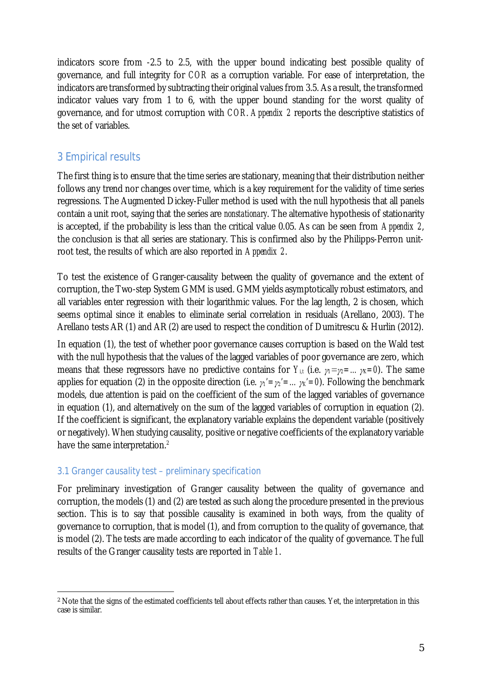indicators score from -2.5 to 2.5, with the upper bound indicating best possible quality of governance, and full integrity for *COR* as a corruption variable. For ease of interpretation, the indicators are transformed by subtracting their original values from 3.5. As a result, the transformed indicator values vary from 1 to 6, with the upper bound standing for the worst quality of governance, and for utmost corruption with *COR*. *Appendix 2* reports the descriptive statistics of the set of variables.

### 3 Empirical results

The first thing is to ensure that the time series are stationary, meaning that their distribution neither follows any trend nor changes over time, which is a key requirement for the validity of time series regressions. The Augmented Dickey-Fuller method is used with the null hypothesis that all panels contain a unit root, saying that the series are *nonstationary*. The alternative hypothesis of stationarity is accepted, if the probability is less than the critical value 0.05. As can be seen from *Appendix 2*, the conclusion is that all series are stationary. This is confirmed also by the Philipps-Perron unitroot test, the results of which are also reported in *Appendix 2*.

To test the existence of Granger-causality between the quality of governance and the extent of corruption, the Two-step System GMM is used. GMM yields asymptotically robust estimators, and all variables enter regression with their logarithmic values. For the lag length, 2 is chosen, which seems optimal since it enables to eliminate serial correlation in residuals (Arellano, 2003). The Arellano tests AR (1) and AR (2) are used to respect the condition of Dumitrescu & Hurlin (2012).

In equation (1), the test of whether poor governance causes corruption is based on the Wald test with the null hypothesis that the values of the lagged variables of poor governance are zero, which means that these regressors have no predictive contains for *Y<sub>it</sub>* (i.e. *γ*<sub>1</sub>=*γ*<sub>2</sub>=…*γ*<sub>*K*</sub>=0, The same applies for equation (2) in the opposite direction (i.e. *γ1'=γ2'=…γK'=0*). Following the benchmark models, due attention is paid on the coefficient of the sum of the lagged variables of governance in equation (1), and alternatively on the sum of the lagged variables of corruption in equation (2). If the coefficient is significant, the explanatory variable explains the dependent variable (positively or negatively). When studying causality, positive or negative coefficients of the explanatory variable have the same interpretation.<sup>[2](#page-5-0)</sup>

### *3.1 Granger causality test – preliminary specification*

For preliminary investigation of Granger causality between the quality of governance and corruption, the models (1) and (2) are tested as such along the procedure presented in the previous section. This is to say that possible causality is examined in both ways, from the quality of governance to corruption, that is model (1), and from corruption to the quality of governance, that is model (2). The tests are made according to each indicator of the quality of governance. The full results of the Granger causality tests are reported in *Table 1*.

<span id="page-5-0"></span> <sup>2</sup> Note that the signs of the estimated coefficients tell about effects rather than causes. Yet, the interpretation in this case is similar.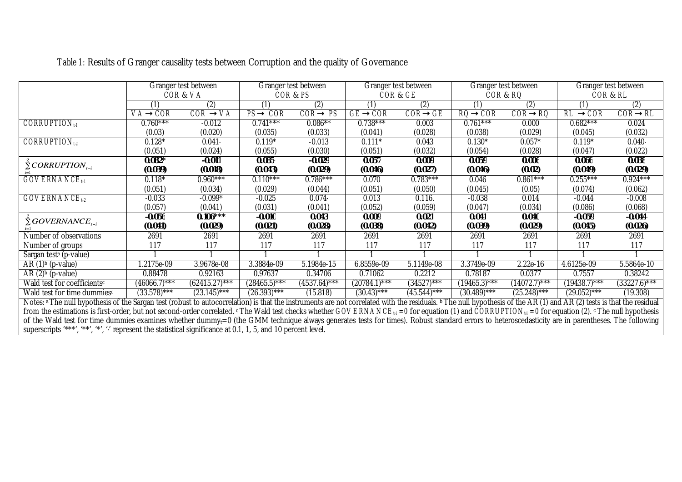|                                                                                                                                                                                                                                                           |                 | Granger test between |                | Granger test between |                | Granger test between |                | Granger test between | Granger test between |                |
|-----------------------------------------------------------------------------------------------------------------------------------------------------------------------------------------------------------------------------------------------------------|-----------------|----------------------|----------------|----------------------|----------------|----------------------|----------------|----------------------|----------------------|----------------|
|                                                                                                                                                                                                                                                           |                 | COR & VA             |                | COR & PS             |                | COR & GE             |                | COR & RO             | COR & RL             |                |
|                                                                                                                                                                                                                                                           |                 | (2)                  | (1)            | (2)                  | (1)            |                      | (1)            | (2)                  | (1)                  | (2)            |
|                                                                                                                                                                                                                                                           | VA® COR         | COR® VA              | PS® COR        | COR® PS              | <b>GE® COR</b> | <b>COR® GE</b>       | RQ® COR        | <b>COR® RQ</b>       | RL ® COR             | <b>COR® RL</b> |
| $CORRUPTION_{t1}$                                                                                                                                                                                                                                         | $0.760***$      | $-0.012$             | $0.741***$     | $0.086**$            | $0.738***$     | 0.003                | $0.761***$     | 0.000                | $0.682***$           | 0.024          |
|                                                                                                                                                                                                                                                           | (0.03)          | (0.020)              | (0.035)        | (0.033)              | (0.041)        | (0.028)              | (0.038)        | (0.029)              | (0.045)              | (0.032)        |
| $CORRUPTION_{L2}$                                                                                                                                                                                                                                         | $0.128*$        | $0.041 -$            | $0.119*$       | $-0.013$             | $0.111*$       | 0.043                | $0.130*$       | $0.057*$             | $0.119*$             | $0.040 -$      |
|                                                                                                                                                                                                                                                           | (0.051)         | (0.024)              | (0.055)        | (0.030)              | (0.051)        | (0.032)              | (0.054)        | (0.028)              | (0.047)              | (0.022)        |
| $\sum$ CORRUPTION <sub>1-1</sub>                                                                                                                                                                                                                          | $0.082*$        | $-0.011$             | $0.085 -$      | $-0.029$             | 0.057          | 0.009                | 0.059          | 0.006                | 0.066                | 0.038          |
|                                                                                                                                                                                                                                                           | (0.039)         | (0.018)              | (0.043)        | (0.029)              | (0.046)        | (0.027)              | (0.046)        | (0.02)               | (0.049)              | (0.029)        |
| <b>GOVERNANCE</b> <sub>t1</sub>                                                                                                                                                                                                                           | $0.118*$        | $0.960***$           | $0.110***$     | $0.786***$           | 0.070          | $0.783***$           | 0.046          | $0.861***$           | $0.255***$           | $0.924***$     |
|                                                                                                                                                                                                                                                           | (0.051)         | (0.034)              | (0.029)        | (0.044)              | (0.051)        | (0.050)              | (0.045)        | (0.05)               | (0.074)              | (0.062)        |
| $GOVERNAMECE_{t2}$                                                                                                                                                                                                                                        | $-0.033$        | $-0.099*$            | $-0.025$       | 0.074                | 0.013          | 0.116.               | $-0.038$       | 0.014                | $-0.044$             | $-0.008$       |
|                                                                                                                                                                                                                                                           | (0.057)         | (0.041)              | (0.031)        | (0.041)              | (0.052)        | (0.059)              | (0.047)        | (0.034)              | (0.086)              | (0.068)        |
| $\sum$ GOVERNANCE <sub>t-i</sub>                                                                                                                                                                                                                          | $-0.056$        | $0.106***$           | $-0.010$       | 0.043                | 0.009          | 0.021                | 0.041          | 0.040                | $-0.059$             | $-0.044$       |
|                                                                                                                                                                                                                                                           | (0.041)         | (0.029)              | (0.021)        | (0.028)              | (0.038)        | (0.042)              | (0.039)        | (0.029)              | (0.045)              | (0.026)        |
| Number of observations                                                                                                                                                                                                                                    | 2691            | 2691                 | 2691           | 2691                 | 2691           | 2691                 | 2691           | 2691                 | 2691                 | 2691           |
| Number of groups                                                                                                                                                                                                                                          | 117             | 117                  | 117            | 117                  | 117            | 117                  | 117            | 117                  | 117                  | 117            |
| Sargan test <sup>a</sup> (p-value)                                                                                                                                                                                                                        |                 |                      |                |                      |                |                      |                |                      |                      |                |
| AR $(1)$ <sup>b</sup> (p-value)                                                                                                                                                                                                                           | $1.2175e-09$    | 3.9678e-08           | 3.3884e-09     | 5.1984e-15           | 6.8559e-09     | 5.1149e-08           | 3.3749e-09     | $2.22e-16$           | 4.6125e-09           | 5.5864e-10     |
| AR $(2)$ <sup>b</sup> (p-value)                                                                                                                                                                                                                           | 0.88478         | 0.92163              | 0.97637        | 0.34706              | 0.71062        | 0.2212               | 0.78187        | 0.0377               | 0.7557               | 0.38242        |
| Wald test for coefficients <sup>c</sup>                                                                                                                                                                                                                   | $(46066.7)$ *** | $(62415.27)$ ***     | $(28465.5)***$ | $(4537.64)$ ***      | $(20784.1)***$ | $(34527)***$         | $(19465.3)***$ | $(14072.7)***$       | $(19438.7)***$       | $(33227.6)***$ |
| Wald test for time dummiesc                                                                                                                                                                                                                               | $(33.578)***$   | $(23.145)***$        | $(26.393)***$  | (15.818)             | $(30.43)***$   | $(45.544)***$        | $(30.489)$ *** | $(25.248)***$        | $(29.052)***$        | (19.308)       |
| Notes: <sup>a</sup> The null hypothesis of the Sargan test (robust to autocorrelation) is that the instruments are not correlated with the residuals. <b>b</b> The null hypothesis of the AR (1) and AR (2) tests is that the residual                    |                 |                      |                |                      |                |                      |                |                      |                      |                |
| from the estimations is first-order, but not second-order correlated. $\epsilon$ The Wald test checks whether <i>GOVERNANCE<sub>ti</sub></i> = 0 for equation (1) and <i>CORRUPTION<sub>ti</sub></i> = 0 for equation (2). $\epsilon$ The null hypothesis |                 |                      |                |                      |                |                      |                |                      |                      |                |
| of the Wald test for time dummies examines whether dummy <sub>t</sub> =0 (the GMM technique always generates tests for times). Robust standard errors to heteroscedasticity are in parentheses. The following                                             |                 |                      |                |                      |                |                      |                |                      |                      |                |
| superscripts "***, "**, "*', " represent the statistical significance at 0.1, 1, 5, and 10 percent level.                                                                                                                                                 |                 |                      |                |                      |                |                      |                |                      |                      |                |

*Table 1:* Results of Granger causality tests between Corruption and the quality of Governance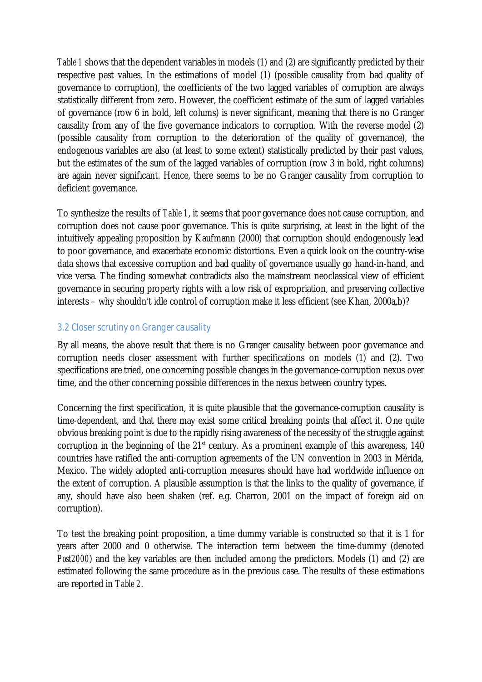*Table 1* shows that the dependent variables in models (1) and (2) are significantly predicted by their respective past values. In the estimations of model (1) (possible causality from bad quality of governance to corruption), the coefficients of the two lagged variables of corruption are always statistically different from zero. However, the coefficient estimate of the sum of lagged variables of governance (row 6 in bold, left colums) is never significant, meaning that there is no Granger causality from any of the five governance indicators to corruption. With the reverse model (2) (possible causality from corruption to the deterioration of the quality of governance), the endogenous variables are also (at least to some extent) statistically predicted by their past values, but the estimates of the sum of the lagged variables of corruption (row 3 in bold, right columns) are again never significant. Hence, there seems to be no Granger causality from corruption to deficient governance.

To synthesize the results of *Table 1*, it seems that poor governance does not cause corruption, and corruption does not cause poor governance. This is quite surprising, at least in the light of the intuitively appealing proposition by Kaufmann (2000) that corruption should endogenously lead to poor governance, and exacerbate economic distortions. Even a quick look on the country-wise data shows that excessive corruption and bad quality of governance usually go hand-in-hand, and vice versa. The finding somewhat contradicts also the mainstream neoclassical view of efficient governance in securing property rights with a low risk of expropriation, and preserving collective interests – why shouldn't idle control of corruption make it less efficient (see Khan, 2000a,b)?

#### *3.2 Closer scrutiny on Granger causality*

By all means, the above result that there is no Granger causality between poor governance and corruption needs closer assessment with further specifications on models (1) and (2). Two specifications are tried, one concerning possible changes in the governance-corruption nexus over time, and the other concerning possible differences in the nexus between country types.

Concerning the first specification, it is quite plausible that the governance-corruption causality is time-dependent, and that there may exist some critical breaking points that affect it. One quite obvious breaking point is due to the rapidly rising awareness of the necessity of the struggle against corruption in the beginning of the 21<sup>st</sup> century. As a prominent example of this awareness, 140 countries have ratified the anti-corruption agreements of the UN convention in 2003 in Mérida, Mexico. The widely adopted anti-corruption measures should have had worldwide influence on the extent of corruption. A plausible assumption is that the links to the quality of governance, if any, should have also been shaken (ref. e.g. Charron, 2001 on the impact of foreign aid on corruption).

To test the breaking point proposition, a time dummy variable is constructed so that it is 1 for years after 2000 and 0 otherwise. The interaction term between the time-dummy (denoted *Post2000*) and the key variables are then included among the predictors. Models (1) and (2) are estimated following the same procedure as in the previous case. The results of these estimations are reported in *Table 2*.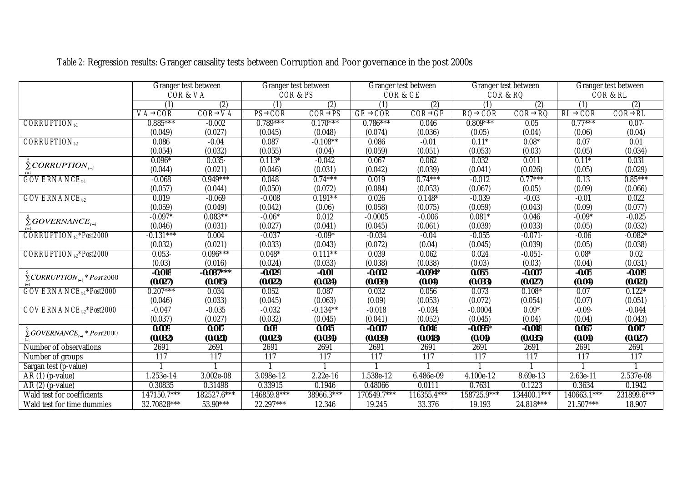|                                                  | Granger test between |             | Granger test between |             |                | Granger test between | Granger test between |             |             | Granger test between |
|--------------------------------------------------|----------------------|-------------|----------------------|-------------|----------------|----------------------|----------------------|-------------|-------------|----------------------|
|                                                  | COR& VA              |             | COR & PS             |             |                | COR & GE             | COR & RQ             |             |             | COR & RL             |
|                                                  | (1)                  | (2)         | (1)                  | (2)         | (1)            | (2)                  | (1)                  | (2)         | (1)         | (2)                  |
|                                                  | VA® COR              | COR® VA     | PS® COR              | COR® PS     | <b>GE® COR</b> | COR® GE              | RO® COR              | COR® RQ     | RL® COR     | COR® RL              |
| <b>CORRUPTION</b> <sub>1-1</sub>                 | $0.885***$           | $-0.002$    | $0.789***$           | $0.170***$  | $0.786***$     | 0.046                | $0.809***$           | 0.05        | $0.77***$   | $0.07 -$             |
|                                                  | (0.049)              | (0.027)     | (0.045)              | (0.048)     | (0.074)        | (0.036)              | (0.05)               | (0.04)      | (0.06)      | (0.04)               |
| $CORRUPTION_{t2}$                                | 0.086                | $-0.04$     | 0.087                | $-0.108***$ | 0.086          | $-0.01$              | $0.11*$              | $0.08*$     | 0.07        | 0.01                 |
|                                                  | (0.054)              | (0.032)     | (0.055)              | (0.04)      | (0.059)        | (0.051)              | (0.053)              | (0.03)      | (0.05)      | (0.034)              |
| $\sum$ CORRUPTION <sub><math>_{t-1}</math></sub> | $0.096*$             | $0.035 -$   | $0.113*$             | $-0.042$    | 0.067          | 0.062                | 0.032                | 0.011       | $0.11*$     | 0.031                |
|                                                  | (0.044)              | (0.021)     | (0.046)              | (0.031)     | (0.042)        | (0.039)              | (0.041)              | (0.026)     | (0.05)      | (0.029)              |
| <b>GOVERNANCE</b> <sub>t-1</sub>                 | $-0.068$             | $0.949***$  | 0.048                | $0.74***$   | 0.019          | $0.74***$            | $-0.012$             | $0.77***$   | 0.13        | $0.85***$            |
|                                                  | (0.057)              | (0.044)     | (0.050)              | (0.072)     | (0.084)        | (0.053)              | (0.067)              | (0.05)      | (0.09)      | (0.066)              |
| <b>GOVERNANCE</b> <sub>t2</sub>                  | 0.019                | $-0.069$    | $-0.008$             | $0.191***$  | 0.026          | $0.148*$             | $-0.039$             | $-0.03$     | $-0.01$     | 0.022                |
|                                                  | (0.059)              | (0.049)     | (0.042)              | (0.06)      | (0.058)        | (0.075)              | (0.059)              | (0.043)     | (0.09)      | (0.077)              |
| $\sum GOVERNAME$                                 | $-0.097*$            | $0.083***$  | $-0.06*$             | 0.012       | $-0.0005$      | $-0.006$             | $0.081*$             | 0.046       | $-0.09*$    | $-0.025$             |
|                                                  | (0.046)              | (0.031)     | (0.027)              | (0.041)     | (0.045)        | (0.061)              | (0.039)              | (0.033)     | (0.05)      | (0.032)              |
| CORRUPTION <sub>t1</sub> *Post2000               | $-0.131***$          | 0.004       | $-0.037$             | $-0.09*$    | $-0.034$       | $-0.04$              | $-0.055$             | $-0.071$    | $-0.06$     | $-0.082*$            |
|                                                  | (0.032)              | (0.021)     | (0.033)              | (0.043)     | (0.072)        | (0.04)               | (0.045)              | (0.039)     | (0.05)      | (0.038)              |
| CORRUPTION <sub>t2</sub> *Post2000               | $0.053 -$            | $0.096***$  | $0.048*$             | $0.111***$  | 0.039          | 0.062                | 0.024                | $-0.051$    | $0.08*$     | 0.02                 |
|                                                  | (0.03)               | (0.016)     | (0.024)              | (0.033)     | (0.038)        | (0.038)              | (0.03)               | (0.03)      | (0.04)      | (0.031)              |
| $\sum$ CORRUPTION <sub>t-i</sub> * Post2000      | $-0.018$             | $-0.087***$ | $-0.029$             | $-0.01$     | $-0.002$       | $-0.094*$            | $0.055 -$            | $-0.007$    | $-0.05$     | $-0.019$             |
|                                                  | (0.027)              | (0.015)     | (0.022)              | (0.024)     | (0.039)        | (0.04)               | (0.033)              | (0.027)     | (0.04)      | (0.021)              |
| GOVERNANCE <sub>t-1</sub> *Post2000              | $0.207***$           | 0.034       | 0.052                | 0.087       | 0.032          | 0.056                | 0.073                | $0.108*$    | 0.07        | $0.122*$             |
|                                                  | (0.046)              | (0.033)     | (0.045)              | (0.063)     | (0.09)         | (0.053)              | (0.072)              | (0.054)     | (0.07)      | (0.051)              |
| GOVERNANCE <sub>t-2</sub> *Post2000              | $-0.047$             | $-0.035$    | $-0.032$             | $-0.134***$ | $-0.018$       | $-0.034$             | $-0.0004$            | $0.09*$     | $-0.09$     | $-0.044$             |
|                                                  | (0.037)              | (0.027)     | (0.032)              | (0.045)     | (0.041)        | (0.052)              | (0.045)              | (0.04)      | (0.04)      | (0.043)              |
| $\sum$ GOVERNANCE <sub>t-i</sub> * Post2000      | 0.009                | 0.017       | 0.03                 | 0.045       | $-0.007$       | 0.046                | $-0.095*$            | $-0.018$    | 0.067       | 0.017                |
|                                                  | (0.032)              | (0.021)     | (0.023)              | (0.034)     | (0.039)        | (0.048)              | (0.04)               | (0.035)     | (0.04)      | (0.027)              |
| Number of observations                           | 2691                 | 2691        | 2691                 | 2691        | 2691           | 2691                 | 2691                 | 2691        | 2691        | 2691                 |
| Number of groups                                 | 117                  | 117         | 117                  | 117         | 117            | 117                  | 117                  | 117         | 117         | 117                  |
| Sargan test (p-value)                            |                      |             |                      |             |                |                      |                      |             |             |                      |
| AR (1) (p-value)                                 | 1.253e-14            | 3.002e-08   | 3.098e-12            | $2.22e-16$  | 1.538e-12      | 6.486e-09            | 4.100e-12            | 8.69e-13    | 2.63e-11    | 2.537e-08            |
| AR (2) (p-value)                                 | 0.30835              | 0.31498     | 0.33915              | 0.1946      | 0.48066        | 0.0111               | 0.7631               | 0.1223      | 0.3634      | 0.1942               |
| Wald test for coefficients                       | 147150.7***          | 182527.6*** | 146859.8***          | 38966.3***  | 170549.7***    | 116355.4***          | 158725.9***          | 134400.1*** | 140663.1*** | 231899.6***          |
| Wald test for time dummies                       | 32.70828***          | 53.90***    | 22.297***            | 12.346      | 19.245         | 33.376               | 19.193               | 24.818***   | $21.507***$ | 18.907               |

*Table 2:* Regression results: Granger causality tests between Corruption and Poor governance in the post 2000s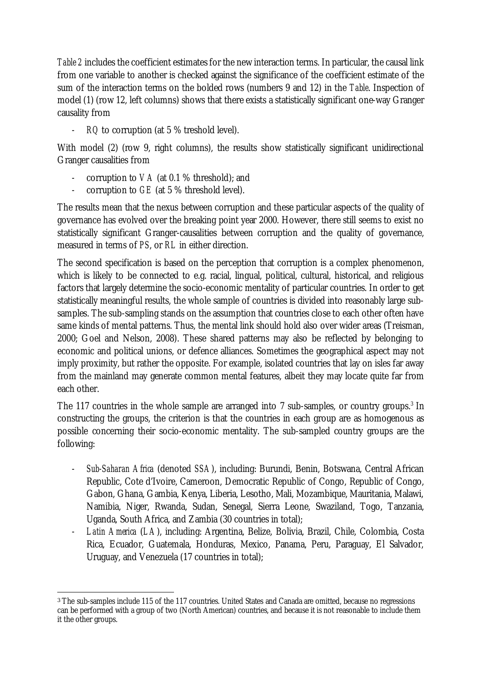*Table 2* includes the coefficient estimates for the new interaction terms. In particular, the causal link from one variable to another is checked against the significance of the coefficient estimate of the sum of the interaction terms on the bolded rows (numbers 9 and 12) in the *Table*. Inspection of model (1) (row 12, left columns) shows that there exists a statistically significant one-way Granger causality from

- *RQ* to corruption (at 5 % treshold level).

With model (2) (row 9, right columns), the results show statistically significant unidirectional Granger causalities from

- corruption to *VA* (at 0.1 % threshold); and
- corruption to *GE* (at 5 % threshold level).

 

The results mean that the nexus between corruption and these particular aspects of the quality of governance has evolved over the breaking point year 2000. However, there still seems to exist no statistically significant Granger-causalities between corruption and the quality of governance, measured in terms of *PS*, or *RL* in either direction.

The second specification is based on the perception that corruption is a complex phenomenon, which is likely to be connected to e.g. racial, lingual, political, cultural, historical, and religious factors that largely determine the socio-economic mentality of particular countries. In order to get statistically meaningful results, the whole sample of countries is divided into reasonably large subsamples. The sub-sampling stands on the assumption that countries close to each other often have same kinds of mental patterns. Thus, the mental link should hold also over wider areas (Treisman, 2000; Goel and Nelson, 2008). These shared patterns may also be reflected by belonging to economic and political unions, or defence alliances. Sometimes the geographical aspect may not imply proximity, but rather the opposite. For example, isolated countries that lay on isles far away from the mainland may generate common mental features, albeit they may locate quite far from each other.

The 117 countries in the whole sample are arranged into 7 sub-samples, or country groups.<sup>[3](#page-9-0)</sup> In constructing the groups, the criterion is that the countries in each group are as homogenous as possible concerning their socio-economic mentality. The sub-sampled country groups are the following:

- *Sub-Saharan Africa* (denoted *SSA*), including: Burundi, Benin, Botswana, Central African Republic, Cote d'Ivoire, Cameroon, Democratic Republic of Congo, Republic of Congo, Gabon, Ghana, Gambia, Kenya, Liberia, Lesotho, Mali, Mozambique, Mauritania, Malawi, Namibia, Niger, Rwanda, Sudan, Senegal, Sierra Leone, Swaziland, Togo, Tanzania, Uganda, South Africa, and Zambia (30 countries in total);
- *Latin America* (*LA*), including: Argentina, Belize, Bolivia, Brazil, Chile, Colombia, Costa Rica, Ecuador, Guatemala, Honduras, Mexico, Panama, Peru, Paraguay, El Salvador, Uruguay, and Venezuela (17 countries in total);

<span id="page-9-0"></span><sup>3</sup> The sub-samples include 115 of the 117 countries. United States and Canada are omitted, because no regressions can be performed with a group of two (North American) countries, and because it is not reasonable to include them it the other groups.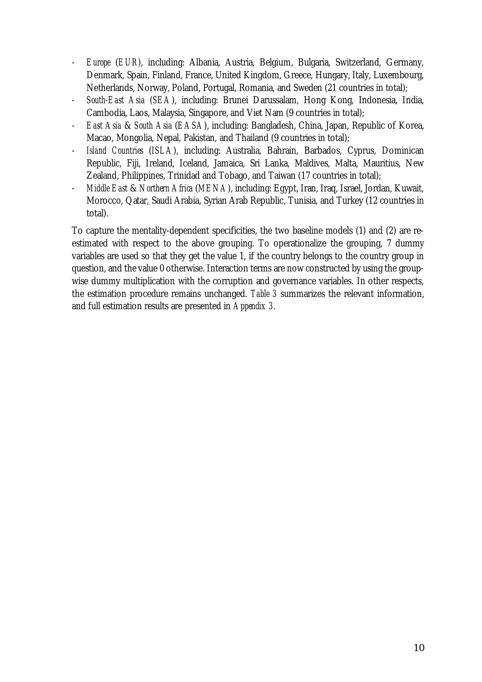- *Europe* (*EUR*), including: Albania, Austria, Belgium, Bulgaria, Switzerland, Germany, Denmark, Spain, Finland, France, United Kingdom, Greece, Hungary, Italy, Luxembourg, Netherlands, Norway, Poland, Portugal, Romania, and Sweden (21 countries in total);
- *South-East Asia* (*SEA*), including: Brunei Darussalam, Hong Kong, Indonesia, India, Cambodia, Laos, Malaysia, Singapore, and Viet Nam (9 countries in total);
- *East Asia* & *South Asia* (*EASA*), including: Bangladesh, China, Japan, Republic of Korea, Macao, Mongolia, Nepal, Pakistan, and Thailand (9 countries in total);
- *Island Countries* (*ISLA*), including: Australia, Bahrain, Barbados, Cyprus, Dominican Republic, Fiji, Ireland, Iceland, Jamaica, Sri Lanka, Maldives, Malta, Mauritius, New Zealand, Philippines, Trinidad and Tobago, and Taiwan (17 countries in total);
- *Middle East* & *Northern Africa* (*MENA*), including: Egypt, Iran, Iraq, Israel, Jordan, Kuwait, Morocco, Qatar, Saudi Arabia, Syrian Arab Republic, Tunisia, and Turkey (12 countries in total).

To capture the mentality-dependent specificities, the two baseline models (1) and (2) are reestimated with respect to the above grouping. To operationalize the grouping, 7 dummy variables are used so that they get the value 1, if the country belongs to the country group in question, and the value 0 otherwise. Interaction terms are now constructed by using the groupwise dummy multiplication with the corruption and governance variables. In other respects, the estimation procedure remains unchanged. *Table 3* summarizes the relevant information, and full estimation results are presented in *Appendix 3*.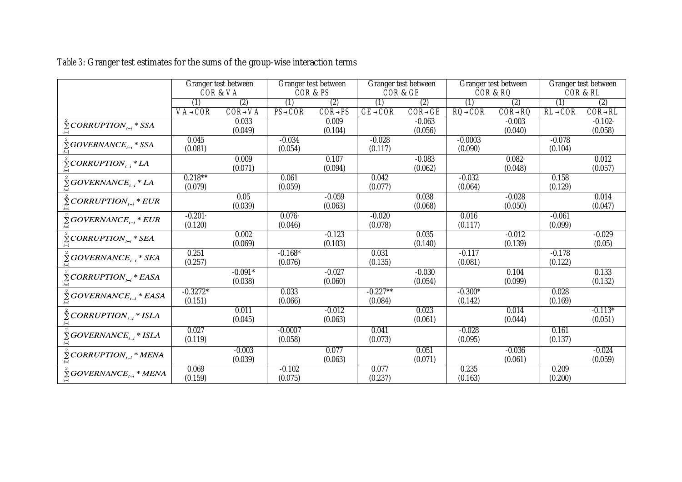|                                                         |                | Granger test between |           | Granger test between |                | Granger test between |                | Granger test between |                | Granger test between |
|---------------------------------------------------------|----------------|----------------------|-----------|----------------------|----------------|----------------------|----------------|----------------------|----------------|----------------------|
|                                                         |                | COR& VA              |           | COR & PS             |                | COR & GE             |                | COR & RO             |                | COR & RL             |
|                                                         | (1)            | (2)                  | (1)       | (2)                  | (1)            | $\overline{(2)}$     | (1)            | (2)                  | (1)            | (2)                  |
|                                                         | <b>VA® COR</b> | <b>COR® VA</b>       | PS® COR   | <b>COR® PS</b>       | <b>GE® COR</b> | <b>COR® GE</b>       | <b>RO® COR</b> | <b>COR® RQ</b>       | <b>RL® COR</b> | <b>COR® RL</b>       |
| $\sum$ CORRUPTION <sub><math>_{t-i}</math></sub> * SSA  |                | 0.033                |           | 0.009                |                | $-0.063$             |                | $-0.003$             |                | $-0.102$             |
|                                                         |                | (0.049)              |           | (0.104)              |                | (0.056)              |                | (0.040)              |                | (0.058)              |
| $\sum$ GOVERNANCE <sub>t-i</sub> * SSA                  | 0.045          |                      | $-0.034$  |                      | $-0.028$       |                      | $-0.0003$      |                      | $-0.078$       |                      |
| $i=1$                                                   | (0.081)        |                      | (0.054)   |                      | (0.117)        |                      | (0.090)        |                      | (0.104)        |                      |
| $\sum$ CORRUPTION <sub><math>i-i</math></sub> * LA      |                | 0.009                |           | 0.107                |                | $-0.083$             |                | $0.082 -$            |                | 0.012                |
|                                                         |                | (0.071)              |           | (0.094)              |                | (0.062)              |                | (0.048)              |                | (0.057)              |
| $\sum$ GOVERNANCE <sub>t-i</sub> * LA                   | $0.218***$     |                      | 0.061     |                      | 0.042          |                      | $-0.032$       |                      | 0.158          |                      |
| $i=1$                                                   | (0.079)        |                      | (0.059)   |                      | (0.077)        |                      | (0.064)        |                      | (0.129)        |                      |
| $\sum$ CORRUPTION <sub>t-i</sub> * EUR                  |                | 0.05                 |           | $-0.059$             |                | 0.038                |                | $-0.028$             |                | 0.014                |
| $i=1$                                                   |                | (0.039)              |           | (0.063)              |                | (0.068)              |                | (0.050)              |                | (0.047)              |
| $\bar{\Sigma}$ GOVERNANCE <sub>t-i</sub> * EUR          | $-0.201$       |                      | 0.076     |                      | $-0.020$       |                      | 0.016          |                      | $-0.061$       |                      |
| $i=1$                                                   | (0.120)        |                      | (0.046)   |                      | (0.078)        |                      | (0.117)        |                      | (0.099)        |                      |
| $\bar{\Sigma}$ CORRUPTION, * SEA                        |                | 0.002                |           | $-0.123$             |                | 0.035                |                | $-0.012$             |                | $-0.029$             |
|                                                         |                | (0.069)              |           | (0.103)              |                | (0.140)              |                | (0.139)              |                | (0.05)               |
| $\sum$ GOVERNANCE <sub>t-i</sub> * SEA                  | 0.251          |                      | $-0.168*$ |                      | 0.031          |                      | $-0.117$       |                      | $-0.178$       |                      |
| $i=1$                                                   | (0.257)        |                      | (0.076)   |                      | (0.135)        |                      | (0.081)        |                      | (0.122)        |                      |
| $\sum$ CORRUPTION <sub><math>_{t-i}</math></sub> * EASA |                | $-0.091*$            |           | $-0.027$             |                | $-0.030$             |                | 0.104                |                | 0.133                |
|                                                         |                | (0.038)              |           | (0.060)              |                | (0.054)              |                | (0.099)              |                | (0.132)              |
| $\sum$ GOVERNANCE <sub>t-i</sub> * EASA                 | $-0.3272*$     |                      | 0.033     |                      | $-0.227**$     |                      | $-0.300*$      |                      | 0.028          |                      |
|                                                         | (0.151)        |                      | (0.066)   |                      | (0.084)        |                      | (0.142)        |                      | (0.169)        |                      |
| $\sum$ CORRUPTION <sub><math>_{t-i}</math></sub> * ISLA |                | 0.011                |           | $-0.012$             |                | 0.023                |                | 0.014                |                | $-0.113*$            |
| $i=1$                                                   |                | (0.045)              |           | (0.063)              |                | (0.061)              |                | (0.044)              |                | (0.051)              |
|                                                         | 0.027          |                      | $-0.0007$ |                      | 0.041          |                      | $-0.028$       |                      | 0.161          |                      |
| $\sum GOVERNAMEE_{t-i} * ISLA$                          | (0.119)        |                      | (0.058)   |                      | (0.073)        |                      | (0.095)        |                      | (0.137)        |                      |
|                                                         |                | $-0.003$             |           | 0.077                |                | 0.051                |                | $-0.036$             |                | $-0.024$             |
| $\sum$ CORRUPTION <sub>t-i</sub> * MENA<br>$i=1$        |                | (0.039)              |           | (0.063)              |                | (0.071)              |                | (0.061)              |                | (0.059)              |
| $\sum$ GOVERNANCE <sub>t-i</sub> * MENA                 | 0.069          |                      | $-0.102$  |                      | 0.077          |                      | 0.235          |                      | 0.209          |                      |
| $i=1$                                                   | (0.159)        |                      | (0.075)   |                      | (0.237)        |                      | (0.163)        |                      | (0.200)        |                      |

*Table 3*: Granger test estimates for the sums of the group-wise interaction terms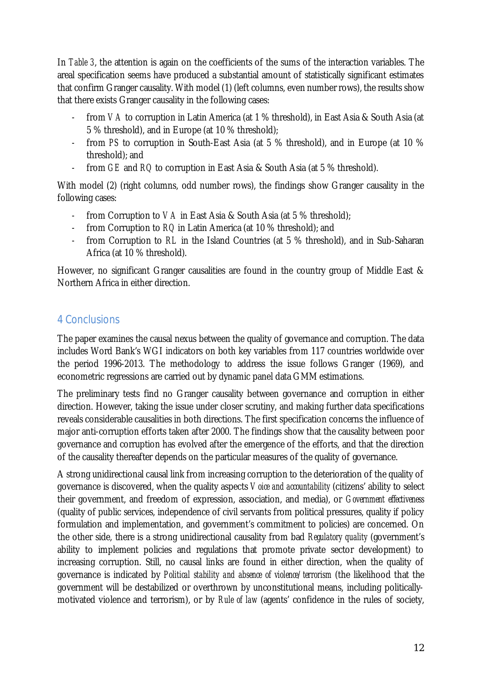In *Table 3*, the attention is again on the coefficients of the sums of the interaction variables. The areal specification seems have produced a substantial amount of statistically significant estimates that confirm Granger causality. With model (1) (left columns, even number rows), the results show that there exists Granger causality in the following cases:

- from *VA* to corruption in Latin America (at 1 % threshold), in East Asia & South Asia (at 5 % threshold), and in Europe (at 10 % threshold);
- from *PS* to corruption in South-East Asia (at 5 % threshold), and in Europe (at 10 % threshold); and
- from *GE* and *RQ* to corruption in East Asia & South Asia (at 5 % threshold).

With model (2) (right columns, odd number rows), the findings show Granger causality in the following cases:

- from Corruption to *VA* in East Asia & South Asia (at 5 % threshold);
- from Corruption to *RQ* in Latin America (at 10 % threshold); and
- from Corruption to *RL* in the Island Countries (at 5 % threshold), and in Sub-Saharan Africa (at 10 % threshold).

However, no significant Granger causalities are found in the country group of Middle East & Northern Africa in either direction.

### 4 Conclusions

The paper examines the causal nexus between the quality of governance and corruption. The data includes Word Bank's WGI indicators on both key variables from 117 countries worldwide over the period 1996-2013. The methodology to address the issue follows Granger (1969), and econometric regressions are carried out by dynamic panel data GMM estimations.

The preliminary tests find no Granger causality between governance and corruption in either direction. However, taking the issue under closer scrutiny, and making further data specifications reveals considerable causalities in both directions. The first specification concerns the influence of major anti-corruption efforts taken after 2000. The findings show that the causality between poor governance and corruption has evolved after the emergence of the efforts, and that the direction of the causality thereafter depends on the particular measures of the quality of governance.

A strong unidirectional causal link from increasing corruption to the deterioration of the quality of governance is discovered, when the quality aspects *Voice and accountability* (citizens' ability to select their government, and freedom of expression, association, and media), or *Government effectiveness* (quality of public services, independence of civil servants from political pressures, quality if policy formulation and implementation, and government's commitment to policies) are concerned. On the other side, there is a strong unidirectional causality from bad *Regulatory quality* (government's ability to implement policies and regulations that promote private sector development) to increasing corruption. Still, no causal links are found in either direction, when the quality of governance is indicated by *Political stability and absence of violence/terrorism* (the likelihood that the government will be destabilized or overthrown by unconstitutional means, including politicallymotivated violence and terrorism), or by *Rule of law* (agents' confidence in the rules of society,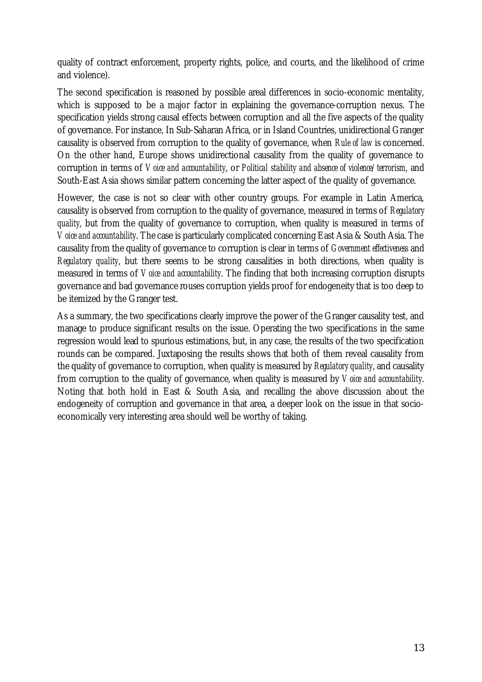quality of contract enforcement, property rights, police, and courts, and the likelihood of crime and violence).

The second specification is reasoned by possible areal differences in socio-economic mentality, which is supposed to be a major factor in explaining the governance-corruption nexus. The specification yields strong causal effects between corruption and all the five aspects of the quality of governance. For instance, In Sub-Saharan Africa, or in Island Countries, unidirectional Granger causality is observed from corruption to the quality of governance, when *Rule of law* is concerned. On the other hand, Europe shows unidirectional causality from the quality of governance to corruption in terms of *Voice and accountability*, or *Political stability and absence of violence/terrorism*, and South-East Asia shows similar pattern concerning the latter aspect of the quality of governance.

However, the case is not so clear with other country groups. For example in Latin America, causality is observed from corruption to the quality of governance, measured in terms of *Regulatory quality*, but from the quality of governance to corruption, when quality is measured in terms of *Voice and accountability*. The case is particularly complicated concerning East Asia & South Asia. The causality from the quality of governance to corruption is clear in terms of *Government effectiveness* and *Regulatory quality*, but there seems to be strong causalities in both directions, when quality is measured in terms of *Voice and accountability*. The finding that both increasing corruption disrupts governance and bad governance rouses corruption yields proof for endogeneity that is too deep to be itemized by the Granger test.

As a summary, the two specifications clearly improve the power of the Granger causality test, and manage to produce significant results on the issue. Operating the two specifications in the same regression would lead to spurious estimations, but, in any case, the results of the two specification rounds can be compared. Juxtaposing the results shows that both of them reveal causality from the quality of governance to corruption, when quality is measured by *Regulatory quality*, and causality from corruption to the quality of governance, when quality is measured by *Voice and accountability*. Noting that both hold in East & South Asia, and recalling the above discussion about the endogeneity of corruption and governance in that area, a deeper look on the issue in that socioeconomically very interesting area should well be worthy of taking.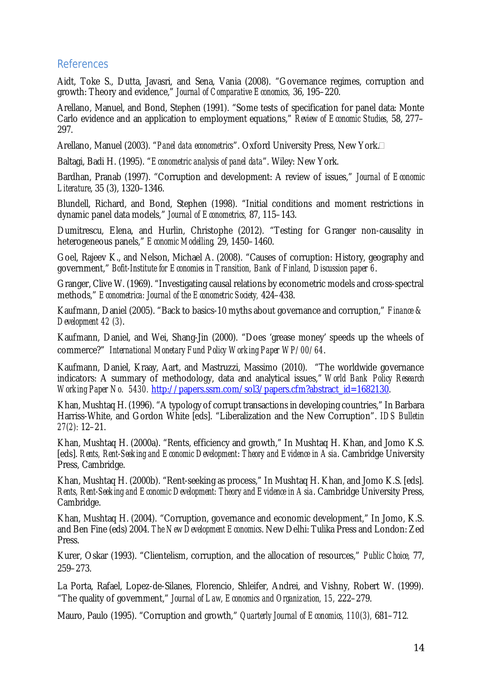#### References

Aidt, Toke S., Dutta, Javasri, and Sena, Vania (2008). "Governance regimes, corruption and growth: Theory and evidence," *Journal of Comparative Economics,* 36, 195–220.

Arellano, Manuel, and Bond, Stephen (1991). "Some tests of specification for panel data: Monte Carlo evidence and an application to employment equations," *Review of Economic Studies,* 58, 277– 297.

Arellano, Manuel (2003). "*Panel data econometrics*". Oxford University Press, New York.

Baltagi, Badi H. (1995). "*Econometric analysis of panel data*". Wiley: New York.

Bardhan, Pranab (1997). "Corruption and development: A review of issues," *Journal of Economic Literature*, 35 (3), 1320–1346.

Blundell, Richard, and Bond, Stephen (1998). "Initial conditions and moment restrictions in dynamic panel data models," *Journal of Econometrics,* 87, 115–143.

Dumitrescu, Elena, and Hurlin, Christophe (2012). "Testing for Granger non-causality in heterogeneous panels," *Economic Modelling,* 29, 1450–1460.

Goel, Rajeev K., and Nelson, Michael A. (2008). "Causes of corruption: History, geography and government," *Bofit-Institute for Economies in Transition, Bank of Finland, Discussion paper 6*.

Granger, Clive W. (1969). "Investigating causal relations by econometric models and cross-spectral methods," *Econometrica: Journal of the Econometric Society,* 424–438.

Kaufmann, Daniel (2005). "Back to basics-10 myths about governance and corruption," *Finance & Development 42 (3)*.

Kaufmann, Daniel, and Wei, Shang-Jin (2000). "Does 'grease money' speeds up the wheels of commerce?" *International Monetary Fund Policy Working Paper WP/00/64*.

Kaufmann, Daniel, Kraay, Aart, and Mastruzzi, Massimo (2010). "The worldwide governance indicators: A summary of methodology, data and analytical issues," *World Bank Policy Research Working Paper No. 5430.* [http://papers.ssrn.com/sol3/papers.cfm?abstract\\_id=1682130.](http://papers.ssrn.com/sol3/papers.cfm?abstract_id=1682130)

Khan, Mushtaq H. (1996). "A typology of corrupt transactions in developing countries," In Barbara Harriss-White, and Gordon White [eds]. "Liberalization and the New Corruption". *IDS Bulletin 27(2):* 12–21.

Khan, Mushtaq H. (2000a). "Rents, efficiency and growth," In Mushtaq H. Khan, and Jomo K.S. [eds]. *Rents, Rent-Seeking and Economic Development*: *Theory and Evidence in Asia*. Cambridge University Press, Cambridge.

Khan, Mushtaq H. (2000b). "Rent-seeking as process," In Mushtaq H. Khan, and Jomo K.S. [eds]. *Rents, Rent-Seeking and Economic Development: Theory and Evidence in Asia*. Cambridge University Press, Cambridge.

Khan, Mushtaq H. (2004). "Corruption, governance and economic development," In Jomo, K.S. and Ben Fine (eds) 2004. *The New Development Economics*. New Delhi: Tulika Press and London: Zed Press.

Kurer, Oskar (1993). "Clientelism, corruption, and the allocation of resources," *Public Choice,* 77, 259–273.

La Porta, Rafael, Lopez-de-Silanes, Florencio, Shleifer, Andrei, and Vishny, Robert W. (1999). "The quality of government," *Journal of Law, Economics and Organization, 15,* 222–279.

Mauro, Paulo (1995). "Corruption and growth," *Quarterly Journal of Economics, 110(3),* 681–712*.*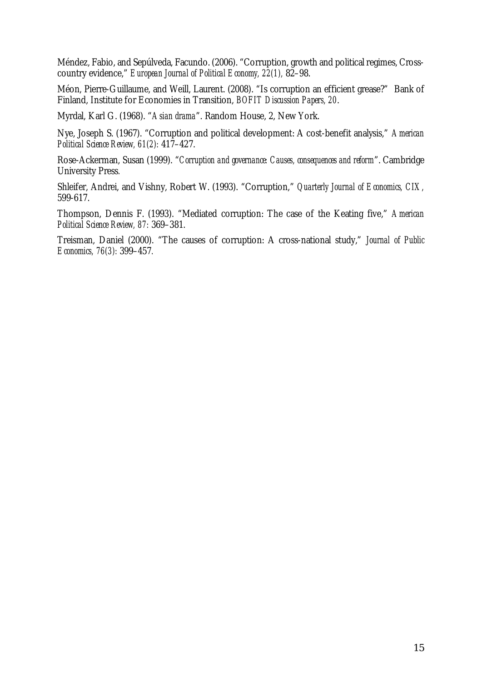Méndez, Fabio, and Sepúlveda, Facundo. (2006). "Corruption, growth and political regimes, Crosscountry evidence," *European Journal of Political Economy, 22(1),* 82–98.

Méon, Pierre-Guillaume, and Weill, Laurent. (2008). "Is corruption an efficient grease?" Bank of Finland, Institute for Economies in Transition, *BOFIT Discussion Papers, 20*.

Myrdal, Karl G. (1968). "*Asian drama*". Random House, 2, New York.

Nye, Joseph S. (1967). "Corruption and political development: A cost-benefit analysis," *American Political Science Review, 61(2):* 417–427.

Rose-Ackerman, Susan (1999). "*Corruption and governance: Causes, consequences and reform*". Cambridge University Press*.*

Shleifer, Andrei, and Vishny, Robert W. (1993). "Corruption," *Quarterly Journal of Economics, CIX,* 599-617.

Thompson, Dennis F. (1993). "Mediated corruption: The case of the Keating five," *American Political Science Review, 87:* 369–381.

Treisman, Daniel (2000). "The causes of corruption: A cross-national study," *Journal of Public Economics, 76(3):* 399–457*.*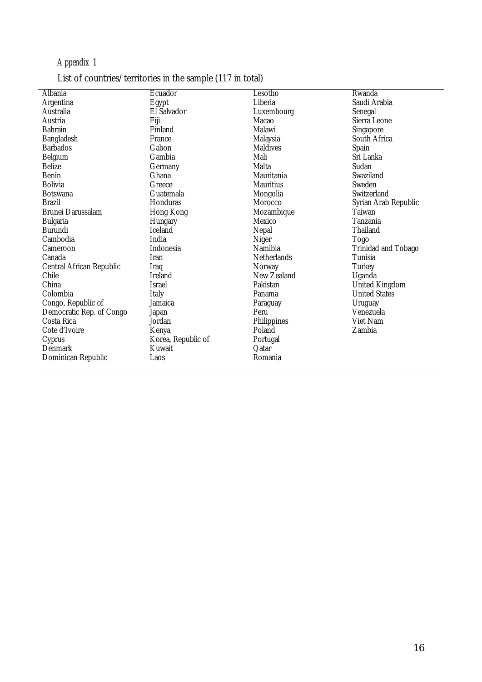## *Appendix 1*

## List of countries/territories in the sample (117 in total)

| Albania                  | Ecuador            | Lesotho            | Rwanda               |
|--------------------------|--------------------|--------------------|----------------------|
| Argentina                | Egypt              | Liberia            | Saudi Arabia         |
| Australia                | El Salvador        | Luxembourg         | Senegal              |
| Austria                  | Fiji               | Macao              | Sierra Leone         |
| <b>Bahrain</b>           | Finland            | Malawi             | Singapore            |
| Bangladesh               | France             | Malaysia           | South Africa         |
| <b>Barbados</b>          | Gabon              | <b>Maldives</b>    | Spain                |
| Belgium                  | Gambia             | Mali               | Sri Lanka            |
| <b>Belize</b>            | Germany            | Malta              | Sudan                |
| <b>Benin</b>             | Ghana              | Mauritania         | Swaziland            |
| <b>Bolivia</b>           | Greece             | <b>Mauritius</b>   | Sweden               |
| Botswana                 | Guatemala          | Mongolia           | Switzerland          |
| <b>Brazil</b>            | Honduras           | Morocco            | Syrian Arab Republic |
| Brunei Darussalam        | Hong Kong          | Mozambique         | Taiwan               |
| <b>Bulgaria</b>          | Hungary            | Mexico             | Tanzania             |
| Burundi                  | Iceland            | Nepal              | Thailand             |
| Cambodia                 | India              | Niger              | Togo                 |
| Cameroon                 | Indonesia          | Namibia            | Trinidad and Tobago  |
| Canada                   | <b>Iran</b>        | <b>Netherlands</b> | Tunisia              |
| Central African Republic | Iraq               | Norway             | Turkey               |
| Chile                    | Ireland            | New Zealand        | Uganda               |
| China                    | <b>Israel</b>      | Pakistan           | United Kingdom       |
| Colombia                 | Italy              | Panama             | <b>United States</b> |
| Congo, Republic of       | Jamaica            | Paraguay           | Uruguay              |
| Democratic Rep. of Congo | Japan              | Peru               | Venezuela            |
| Costa Rica               | Jordan             | Philippines        | Viet Nam             |
| Cote d'Ivoire            | Kenya              | Poland             | Zambia               |
| Cyprus                   | Korea, Republic of | Portugal           |                      |
| Denmark                  | Kuwait             | Oatar              |                      |
| Dominican Republic       | Laos               | Romania            |                      |
|                          |                    |                    |                      |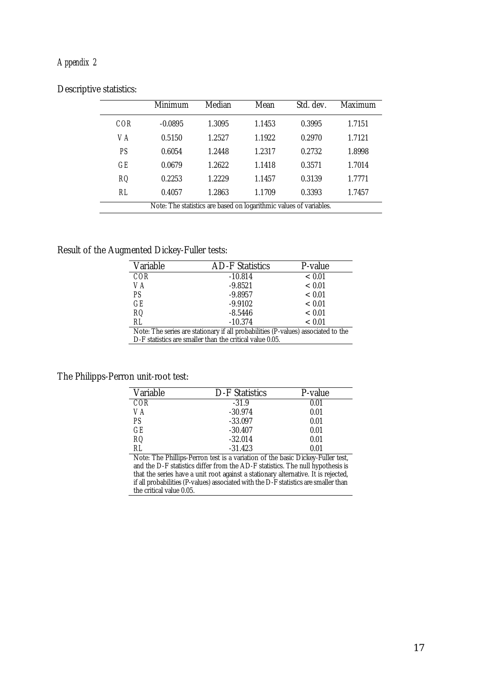#### *Appendix 2*

|     | Minimum                                                            | Median | Mean   | Std. dev. | Maximum |  |  |  |  |  |
|-----|--------------------------------------------------------------------|--------|--------|-----------|---------|--|--|--|--|--|
| COR | $-0.0895$                                                          | 1.3095 | 1.1453 | 0.3995    | 1.7151  |  |  |  |  |  |
| VA  | 0.5150                                                             | 1.2527 | 1.1922 | 0.2970    | 1.7121  |  |  |  |  |  |
| PS  | 0.6054                                                             | 1.2448 | 1.2317 | 0.2732    | 1.8998  |  |  |  |  |  |
| GE  | 0.0679                                                             | 1.2622 | 1.1418 | 0.3571    | 1.7014  |  |  |  |  |  |
| RO. | 0.2253                                                             | 1.2229 | 1.1457 | 0.3139    | 1.7771  |  |  |  |  |  |
| RL  | 0.4057                                                             | 1.2863 | 1.1709 | 0.3393    | 1.7457  |  |  |  |  |  |
|     | Note: The statistics are based on logarithmic values of variables. |        |        |           |         |  |  |  |  |  |

#### Descriptive statistics:

#### Result of the Augmented Dickey-Fuller tests:

| Variable                                                 | <b>AD-F Statistics</b>                                                            | P-value |  |  |  |  |  |  |
|----------------------------------------------------------|-----------------------------------------------------------------------------------|---------|--|--|--|--|--|--|
| COR                                                      | $-10.814$                                                                         | ~< 0.01 |  |  |  |  |  |  |
| VA                                                       | $-9.8521$                                                                         | ~< 0.01 |  |  |  |  |  |  |
| PS                                                       | $-9.8957$                                                                         | < 0.01  |  |  |  |  |  |  |
| GE                                                       | $-9.9102$                                                                         | < 0.01  |  |  |  |  |  |  |
| RO.                                                      | $-8.5446$                                                                         | < 0.01  |  |  |  |  |  |  |
| RL                                                       | $-10.374$                                                                         | < 0.01  |  |  |  |  |  |  |
|                                                          | Note: The series are stationary if all probabilities (P-values) associated to the |         |  |  |  |  |  |  |
| D-F statistics are smaller than the critical value 0.05. |                                                                                   |         |  |  |  |  |  |  |

#### The Philipps-Perron unit-root test:

| Variable | D-F Statistics | P-value |
|----------|----------------|---------|
| COR      | $-31.9$        | 0.01    |
| VA       | $-30.974$      | 0.01    |
| PS       | $-33.097$      | 0.01    |
| GF       | $-30.407$      | 0.01    |
| RO.      | $-32.014$      | 0.01    |
| RI       | $-31.423$      | 0.01    |

Note: The Phillips-Perron test is a variation of the basic Dickey-Fuller test, and the D-F statistics differ from the AD-F statistics. The null hypothesis is that the series have a unit root against a stationary alternative. It is rejected, if all probabilities (P-values) associated with the D-F statistics are smaller than the critical value 0.05.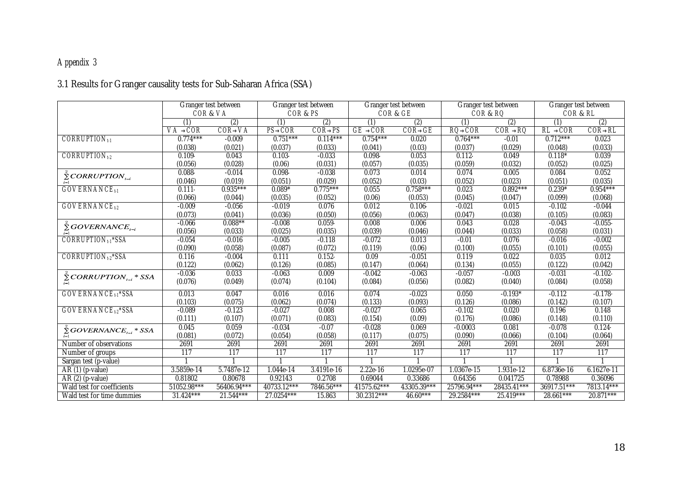## *Appendix 3*

## 3.1 Results for Granger causality tests for Sub-Saharan Africa (SSA)

|                                                       |             | Granger test between | Granger test between |                |             | Granger test between |                | Granger test between | Granger test between |                |
|-------------------------------------------------------|-------------|----------------------|----------------------|----------------|-------------|----------------------|----------------|----------------------|----------------------|----------------|
|                                                       |             | COR& VA              | COR & PS             |                |             | COR& GE              |                | COR & RQ             | COR & RL             |                |
|                                                       | (1)         | (2)                  | (1)                  | (2)            | (1)         | (2)                  | (1)            | (2)                  | (1)                  | (2)            |
|                                                       | VA®COR      | <b>COR® VA</b>       | PS® COR              | <b>COR® PS</b> | GE ® COR    | <b>COR® GE</b>       | <b>RO® COR</b> | <b>COR®RQ</b>        | RL ® COR             | <b>COR® RL</b> |
| $CORRUPTION_{t1}$                                     | $0.774***$  | $-0.009$             | $0.751***$           | $0.114***$     | $0.754***$  | 0.020                | $0.764***$     | $-0.01$              | $0.712***$           | 0.023          |
|                                                       | (0.038)     | (0.021)              | (0.037)              | (0.033)        | (0.041)     | (0.03)               | (0.037)        | (0.029)              | (0.048)              | (0.033)        |
| CORRUPTION <sub>t-2</sub>                             | 0.109       | 0.043                | $0.103 -$            | $-0.033$       | 0.098       | 0.053                | 0.112          | 0.049                | $0.118*$             | 0.039          |
|                                                       | (0.056)     | (0.028)              | (0.06)               | (0.031)        | (0.057)     | (0.035)              | (0.059)        | (0.032)              | (0.052)              | (0.025)        |
| $\tilde{\Sigma}$ CORRUPTION <sub>t-i</sub>            | 0.088       | $-0.014$             | 0.098                | $-0.038$       | 0.073       | 0.014                | 0.074          | 0.005                | 0.084                | 0.052          |
|                                                       | (0.046)     | (0.019)              | (0.051)              | (0.029)        | (0.052)     | (0.03)               | (0.052)        | (0.023)              | (0.051)              | (0.035)        |
| <b>GOVERNANCE</b> <sub>t1</sub>                       | 0.111       | $0.935***$           | $0.089*$             | $0.775***$     | 0.055       | $0.758***$           | 0.023          | $0.892***$           | $0.239*$             | $0.954***$     |
|                                                       | (0.066)     | (0.044)              | (0.035)              | (0.052)        | (0.06)      | (0.053)              | (0.045)        | (0.047)              | (0.099)              | (0.068)        |
| <b>GOVERNANCE</b> <sub>t2</sub>                       | $-0.009$    | $-0.056$             | $-0.019$             | 0.076          | 0.012       | 0.106                | $-0.021$       | 0.015                | $-0.102$             | $-0.044$       |
|                                                       | (0.073)     | (0.041)              | (0.036)              | (0.050)        | (0.056)     | (0.063)              | (0.047)        | (0.038)              | (0.105)              | (0.083)        |
| $\sum$ GOVERNANCE <sub>t-i</sub>                      | $-0.066$    | $0.088***$           | $-0.008$             | 0.059          | 0.008       | 0.006                | 0.043          | 0.028                | $-0.043$             | $-0.055$       |
|                                                       | (0.056)     | (0.033)              | (0.025)              | (0.035)        | (0.039)     | (0.046)              | (0.044)        | (0.033)              | (0.058)              | (0.031)        |
| CORRUPTION <sub>11</sub> *SSA                         | $-0.054$    | $-0.016$             | $-0.005$             | $-0.118$       | $-0.072$    | 0.013                | $-0.01$        | 0.076                | $-0.016$             | $-0.002$       |
|                                                       | (0.090)     | (0.058)              | (0.087)              | (0.072)        | (0.119)     | (0.06)               | (0.100)        | (0.055)              | (0.101)              | (0.055)        |
| CORRUPTION <sub>t-2</sub> *SSA                        | 0.116       | $-0.004$             | 0.111                | 0.152          | 0.09        | $-0.051$             | 0.119          | 0.022                | 0.035                | 0.012          |
|                                                       | (0.122)     | (0.062)              | (0.126)              | (0.085)        | (0.147)     | (0.064)              | (0.134)        | (0.055)              | (0.122)              | (0.042)        |
| $\tilde{\Sigma} \text{CORRUPTION}_{t-i} * \text{SSA}$ | $-0.036$    | 0.033                | $-0.063$             | 0.009          | $-0.042$    | $-0.063$             | $-0.057$       | $-0.003$             | $-0.031$             | $-0.102$       |
|                                                       | (0.076)     | (0.049)              | (0.074)              | (0.104)        | (0.084)     | (0.056)              | (0.082)        | (0.040)              | (0.084)              | (0.058)        |
| GOVERNANCE <sub>t1</sub> *SSA                         | 0.013       | 0.047                | 0.016                | 0.016          | 0.074       | $-0.023$             | 0.050          | $-0.193*$            | $-0.112$             | $-0.178$       |
|                                                       | (0.103)     | (0.075)              | (0.062)              | (0.074)        | (0.133)     | (0.093)              | (0.126)        | (0.086)              | (0.142)              | (0.107)        |
| GOVERNANCE <sub>t2</sub> *SSA                         | $-0.089$    | $-0.123$             | $-0.027$             | 0.008          | $-0.027$    | 0.065                | $-0.102$       | 0.020                | 0.196                | 0.148          |
|                                                       | (0.111)     | (0.107)              | (0.071)              | (0.083)        | (0.154)     | (0.09)               | (0.176)        | (0.086)              | (0.148)              | (0.110)        |
| $\tilde{\Sigma}$ GOVERNANCE <sub>t-i</sub> * SSA      | 0.045       | 0.059                | $-0.034$             | $-0.07$        | $-0.028$    | 0.069                | $-0.0003$      | 0.081                | $-0.078$             | 0.124          |
|                                                       | (0.081)     | (0.072)              | (0.054)              | (0.058)        | (0.117)     | (0.075)              | (0.090)        | (0.066)              | (0.104)              | (0.064)        |
| Number of observations                                | 2691        | 2691                 | 2691                 | 2691           | 2691        | 2691                 | 2691           | 2691                 | 2691                 | 2691           |
| Number of groups                                      | 117         | 117                  | 117                  | 117            | 117         | 117                  | 117            | 117                  | 117                  | 117            |
| Sargan test (p-value)                                 |             |                      |                      |                |             |                      |                |                      |                      |                |
| $AR(1)$ (p-value)                                     | 3.5859e-14  | 5.7487e-12           | 1.044e-14            | 3.4191e-16     | $2.22e-16$  | 1.0295e-07           | 1.0367e-15     | 1.931e-12            | 6.8736e-16           | 6.1627e-11     |
| $AR(2)$ (p-value)                                     | 0.81802     | 0.80678              | 0.92143              | 0.2708         | 0.69044     | 0.33686              | 0.64356        | 0.041725             | 0.78988              | 0.36096        |
| Wald test for coefficients                            | 51052.98*** | 56406.94***          | 40733.12***          | 7846.56***     | 41575.62*** | 43305.39***          | 25796.94***    | 28435.41***          | 36917.51***          | 7813.14***     |
| Wald test for time dummies                            | $31.424***$ | $21.544***$          | 27.0254***           | 15.863         | 30.2312***  | 46.60***             | 29.2584***     | 25.419***            | 28.661***            | $20.871***$    |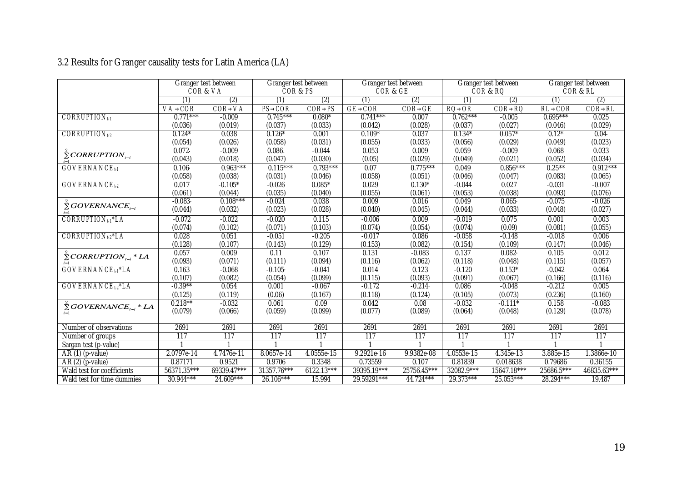## 3.2 Results for Granger causality tests for Latin America (LA)

|                                                  |                | Granger test between | Granger test between |                | Granger test between |                |               | Granger test between |                | Granger test between |
|--------------------------------------------------|----------------|----------------------|----------------------|----------------|----------------------|----------------|---------------|----------------------|----------------|----------------------|
|                                                  |                | COR& VA              | COR&PS               |                | COR& GE              |                |               | COR & RQ             |                | COR & RL             |
|                                                  | (1)            | (2)                  | (1)                  | (2)            | (1)                  | (2)            | (1)           | (2)                  | (1)            | (2)                  |
|                                                  | <b>VA® COR</b> | <b>COR® VA</b>       | PS® COR              | <b>COR® PS</b> | <b>GE® COR</b>       | <b>COR® GE</b> | <b>RO® OR</b> | <b>COR® RQ</b>       | <b>RL® COR</b> | <b>COR® RL</b>       |
| $CORRUPTION_{t-1}$                               | $0.771***$     | $-0.009$             | $0.745***$           | $0.080*$       | $0.741***$           | 0.007          | $0.762***$    | $-0.005$             | $0.695***$     | 0.025                |
|                                                  | (0.036)        | (0.019)              | (0.037)              | (0.033)        | (0.042)              | (0.028)        | (0.037)       | (0.027)              | (0.046)        | (0.029)              |
| CORRUPTION <sub>1-2</sub>                        | $0.124*$       | 0.038                | $0.126*$             | 0.001          | $0.109*$             | 0.037          | $0.134*$      | $0.057*$             | $0.12*$        | 0.04                 |
|                                                  | (0.054)        | (0.026)              | (0.058)              | (0.031)        | (0.055)              | (0.033)        | (0.056)       | (0.029)              | (0.049)        | (0.023)              |
| $\sum$ CORRUPTION <sub><math>_{t-i}</math></sub> | 0.072          | $-0.009$             | 0.086.               | $-0.044$       | 0.053                | 0.009          | 0.059         | $-0.009$             | 0.068          | 0.033                |
|                                                  | (0.043)        | (0.018)              | (0.047)              | (0.030)        | (0.05)               | (0.029)        | (0.049)       | (0.021)              | (0.052)        | (0.034)              |
| <b>GOVERNANCE</b> <sub>t1</sub>                  | 0.106          | $0.963***$           | $0.115***$           | $0.793***$     | 0.07                 | $0.775***$     | 0.049         | $0.856***$           | $0.25***$      | $0.912***$           |
|                                                  | (0.058)        | (0.038)              | (0.031)              | (0.046)        | (0.058)              | (0.051)        | (0.046)       | (0.047)              | (0.083)        | (0.065)              |
| <b>GOVERNANCE</b> <sub>t2</sub>                  | 0.017          | $-0.105*$            | $-0.026$             | $0.085*$       | 0.029                | $0.130*$       | $-0.044$      | 0.027                | $-0.031$       | $-0.007$             |
|                                                  | (0.061)        | (0.044)              | (0.035)              | (0.040)        | (0.055)              | (0.061)        | (0.053)       | (0.038)              | (0.093)        | (0.076)              |
| $\sum$ GOVERNANCE <sub>t-i</sub>                 | $-0.083$       | $0.108***$           | $-0.024$             | 0.038          | 0.009                | 0.016          | 0.049         | 0.065                | $-0.075$       | $-0.026$             |
|                                                  | (0.044)        | (0.032)              | (0.023)              | (0.028)        | (0.040)              | (0.045)        | (0.044)       | (0.033)              | (0.048)        | (0.027)              |
| CORRUPTION <sub>t1</sub> *LA                     | $-0.072$       | $-0.022$             | $-0.020$             | 0.115          | $-0.006$             | 0.009          | $-0.019$      | 0.075                | 0.001          | 0.003                |
|                                                  | (0.074)        | (0.102)              | (0.071)              | (0.103)        | (0.074)              | (0.054)        | (0.074)       | (0.09)               | (0.081)        | (0.055)              |
| CORRUPTION <sub>t2</sub> *LA                     | 0.028          | 0.051                | $-0.051$             | $-0.205$       | $-0.017$             | 0.086          | $-0.058$      | $-0.148$             | $-0.018$       | 0.006                |
|                                                  | (0.128)        | (0.107)              | (0.143)              | (0.129)        | (0.153)              | (0.082)        | (0.154)       | (0.109)              | (0.147)        | (0.046)              |
| $\sum^{\infty} CORRUPTION_{t-i} * LA$            | 0.057          | 0.009                | 0.11                 | 0.107          | 0.131                | $-0.083$       | 0.137         | 0.082                | 0.105          | 0.012                |
|                                                  | (0.093)        | (0.071)              | (0.111)              | (0.094)        | (0.116)              | (0.062)        | (0.118)       | (0.048)              | (0.115)        | (0.057)              |
| <b>GOVERNANCE</b> <sub>t1</sub> *LA              | 0.163          | $-0.068$             | $-0.105$             | $-0.041$       | 0.014                | 0.123          | $-0.120$      | $0.153*$             | $-0.042$       | 0.064                |
|                                                  | (0.107)        | (0.082)              | (0.054)              | (0.099)        | (0.115)              | (0.093)        | (0.091)       | (0.067)              | (0.166)        | (0.116)              |
| GOVERNANCE <sub>t2</sub> *LA                     | $-0.39**$      | 0.054                | 0.001                | $-0.067$       | $-0.172$             | $-0.214$       | 0.086         | $-0.048$             | $-0.212$       | 0.005                |
|                                                  | (0.125)        | (0.119)              | (0.06)               | (0.167)        | (0.118)              | (0.124)        | (0.105)       | (0.073)              | (0.236)        | (0.160)              |
| $\sum$ GOVERNANCE <sub>tri</sub> * LA            | $0.218***$     | $-0.032$             | 0.061                | 0.09           | 0.042                | 0.08           | $-0.032$      | $-0.111*$            | 0.158          | $-0.083$             |
| $i=1$                                            | (0.079)        | (0.066)              | (0.059)              | (0.099)        | (0.077)              | (0.089)        | (0.064)       | (0.048)              | (0.129)        | (0.078)              |
|                                                  |                |                      |                      |                |                      |                |               |                      |                |                      |
| Number of observations                           | 2691           | 2691                 | 2691                 | 2691           | 2691                 | 2691           | 2691          | 2691                 | 2691           | 2691                 |
| Number of groups                                 | 117            | 117                  | 117                  | 117            | 117                  | 117            | 117           | 117                  | 117            | 117                  |
| Sargan test (p-value)                            |                |                      |                      |                |                      |                |               |                      |                |                      |
| $AR(1)$ (p-value)                                | 2.0797e-14     | 4.7476e-11           | 8.0657e-14           | 4.0555e-15     | 9.2921e-16           | 9.9382e-08     | 4.0553e-15    | 4.345e-13            | 3.885e-15      | 1.3866e-10           |
| $AR(2)$ (p-value)                                | 0.87171        | 0.9521               | 0.9706               | 0.3348         | 0.73559              | 0.107          | 0.81839       | 0.018638             | 0.79686        | 0.36155              |
| Wald test for coefficients                       | 56371.35***    | 69339.47***          | 31357.76***          | $6122.13***$   | 39395.19***          | 25756.45***    | 32082.9***    | 15647.18***          | 25686.5***     | 46835.63***          |
| Wald test for time dummies                       | 30.944***      | $24.609***$          | 26.106***            | 15.994         | 29.59291***          | 44.724***      | 29.373***     | $25.053***$          | 28.294***      | 19.487               |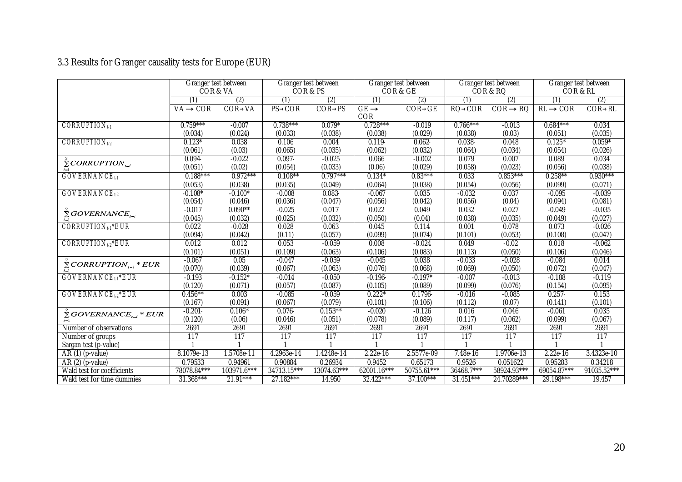# 3.3 Results for Granger causality tests for Europe (EUR)

|                                            |             | Granger test between<br>COR & VA |               | Granger test between<br>COR&PS |                    | Granger test between<br>COR & GE |             | Granger test between<br>COR & RQ | Granger test between | COR & RL       |
|--------------------------------------------|-------------|----------------------------------|---------------|--------------------------------|--------------------|----------------------------------|-------------|----------------------------------|----------------------|----------------|
|                                            | (1)         | (2)                              | (1)           | (2)                            | (1)                | (2)                              | (1)         | (2)                              | (1)                  | (2)            |
|                                            | VA® COR     | <b>COR®VA</b>                    | <b>PS®COR</b> | <b>COR®PS</b>                  | <b>GE</b> ®<br>COR | <b>COR®GE</b>                    | RQ® COR     | <b>COR® RQ</b>                   | <b>RL®COR</b>        | <b>COR® RL</b> |
| $CORRUPTION_{t-1}$                         | $0.759***$  | $-0.007$                         | $0.738***$    | $0.079*$                       | $0.728***$         | $-0.019$                         | $0.766***$  | $-0.013$                         | $0.684***$           | 0.034          |
|                                            | (0.034)     | (0.024)                          | (0.033)       | (0.038)                        | (0.038)            | (0.029)                          | (0.038)     | (0.03)                           | (0.051)              | (0.035)        |
| CORRUPTION <sub>t-2</sub>                  | $0.123*$    | 0.038                            | 0.106         | 0.004                          | 0.119              | 0.062                            | 0.038       | 0.048                            | $0.125*$             | $0.059*$       |
|                                            | (0.061)     | (0.03)                           | (0.065)       | (0.035)                        | (0.062)            | (0.032)                          | (0.064)     | (0.034)                          | (0.054)              | (0.026)        |
| $\sum$ CORRUPTION <sub>t-i</sub>           | 0.094       | $-0.022$                         | 0.097         | $-0.025$                       | 0.066              | $-0.002$                         | 0.079       | 0.007                            | 0.089                | 0.034          |
|                                            | (0.051)     | (0.02)                           | (0.054)       | (0.033)                        | (0.06)             | (0.029)                          | (0.058)     | (0.023)                          | (0.056)              | (0.038)        |
| <b>GOVERNANCE</b> <sub>t1</sub>            | $0.188***$  | $0.972***$                       | $0.108**$     | $0.797***$                     | $0.134*$           | $0.83***$                        | 0.033       | $0.853***$                       | $0.258**$            | $0.930***$     |
|                                            | (0.053)     | (0.038)                          | (0.035)       | (0.049)                        | (0.064)            | (0.038)                          | (0.054)     | (0.056)                          | (0.099)              | (0.071)        |
| <b>GOVERNANCE</b> <sub>t2</sub>            | $-0.108*$   | $-0.100*$                        | $-0.008$      | 0.083                          | $-0.067$           | 0.035                            | $-0.032$    | 0.037                            | $-0.095$             | $-0.039$       |
|                                            | (0.054)     | (0.046)                          | (0.036)       | (0.047)                        | (0.056)            | (0.042)                          | (0.056)     | (0.04)                           | (0.094)              | (0.081)        |
| $\tilde{\Sigma}$ GOVERNANCE <sub>t-i</sub> | $-0.017$    | $0.090**$                        | $-0.025$      | 0.017                          | 0.022              | 0.049                            | 0.032       | 0.027                            | $-0.049$             | $-0.035$       |
|                                            | (0.045)     | (0.032)                          | (0.025)       | (0.032)                        | (0.050)            | (0.04)                           | (0.038)     | (0.035)                          | (0.049)              | (0.027)        |
| <b>CORRUPTION<sub>t1</sub>*EUR</b>         | 0.022       | $-0.028$                         | 0.028         | 0.063                          | 0.045              | 0.114                            | 0.001       | 0.078                            | 0.073                | $-0.026$       |
|                                            | (0.094)     | (0.042)                          | (0.11)        | (0.057)                        | (0.099)            | (0.074)                          | (0.101)     | (0.053)                          | (0.108)              | (0.047)        |
| <b>CORRUPTION</b> <sub>1-2</sub> *EUR      | 0.012       | 0.012                            | 0.053         | $-0.059$                       | 0.008              | $-0.024$                         | 0.049       | $-0.02$                          | 0.018                | $-0.062$       |
|                                            | (0.101)     | (0.051)                          | (0.109)       | (0.063)                        | (0.106)            | (0.083)                          | (0.113)     | (0.050)                          | (0.106)              | (0.046)        |
| $\sum$ CORRUPTION <sub>t-i</sub> * EUR     | $-0.067$    | 0.05                             | $-0.047$      | $-0.059$                       | $-0.045$           | 0.038                            | $-0.033$    | $-0.028$                         | $-0.084$             | 0.014          |
|                                            | (0.070)     | (0.039)                          | (0.067)       | (0.063)                        | (0.076)            | (0.068)                          | (0.069)     | (0.050)                          | (0.072)              | (0.047)        |
| <b>GOVERNANCE</b> <sub>t1</sub> *EUR       | $-0.193$    | $-0.152*$                        | $-0.014$      | $-0.050$                       | $-0.196$           | $-0.197*$                        | $-0.007$    | $-0.013$                         | $-0.188$             | $-0.119$       |
|                                            | (0.120)     | (0.071)                          | (0.057)       | (0.087)                        | (0.105)            | (0.089)                          | (0.099)     | (0.076)                          | (0.154)              | (0.095)        |
| <b>GOVERNANCE<sub>t2</sub>*EUR</b>         | $0.456***$  | 0.003                            | $-0.085$      | $-0.059$                       | $0.222*$           | 0.1796                           | $-0.016$    | $-0.085$                         | 0.257                | 0.153          |
|                                            | (0.167)     | (0.091)                          | (0.067)       | (0.079)                        | (0.101)            | (0.106)                          | (0.112)     | (0.07)                           | (0.141)              | (0.101)        |
| $\sum$ GOVERNANCE <sub>t-i</sub> * EUR     | $-0.201$    | $0.106*$                         | 0.076         | $0.153***$                     | $-0.020$           | $-0.126$                         | 0.016       | 0.046                            | $-0.061$             | 0.035          |
|                                            | (0.120)     | (0.06)                           | (0.046)       | (0.051)                        | (0.078)            | (0.089)                          | (0.117)     | (0.062)                          | (0.099)              | (0.067)        |
| Number of observations                     | 2691        | 2691                             | 2691          | 2691                           | 2691               | 2691                             | 2691        | 2691                             | 2691                 | 2691           |
| Number of groups                           | 117         | 117                              | 117           | 117                            | 117                | 117                              | 117         | 117                              | 117                  | 117            |
| Sargan test (p-value)                      |             |                                  |               |                                |                    |                                  |             |                                  |                      |                |
| $AR(1)$ (p-value)                          | 8.1079e-13  | 1.5708e-11                       | 4.2963e-14    | 1.4248e-14                     | 2.22e-16           | 2.5577e-09                       | 7.48e-16    | 1.9706e-13                       | 2.22e-16             | 3.4323e-10     |
| $AR(2)$ (p-value)                          | 0.79533     | 0.94961                          | 0.90884       | 0.26934                        | 0.9452             | 0.65173                          | 0.9526      | 0.051622                         | 0.95283              | 0.34218        |
| Wald test for coefficients                 | 78078.84*** | 103971.6***                      | 34713.15***   | 13074.63***                    | $62001.16***$      | 50755.61***                      | 36468.7***  | 58924.93***                      | 69054.87***          | 91035.52***    |
| Wald test for time dummies                 | $31.368***$ | $21.91***$                       | $27.182***$   | 14.950                         | 32.422***          | $37.100***$                      | $31.451***$ | 24.70289***                      | 29.198***            | 19.457         |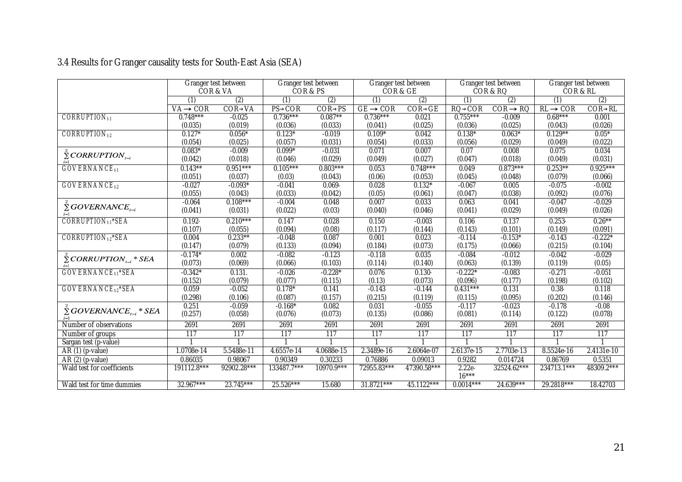## 3.4 Results for Granger causality tests for South-East Asia (SEA)

|                                           |                | Granger test between | Granger test between |               |               | Granger test between |               | Granger test between | Granger test between |                |
|-------------------------------------------|----------------|----------------------|----------------------|---------------|---------------|----------------------|---------------|----------------------|----------------------|----------------|
|                                           |                | COR & VA             | COR & PS             |               | COR & GE      |                      |               | COR & RQ             | COR & RL             |                |
|                                           | (1)            | (2)                  | (1)                  | (2)           | (1)           | (2)                  | (1)           | (2)                  | (1)                  | (2)            |
|                                           | <b>VA® COR</b> | <b>COR®VA</b>        | PS® COR              | <b>COR®PS</b> | <b>GE®COR</b> | <b>COR® GE</b>       | <b>RO®COR</b> | COR® RQ              | <b>RL®COR</b>        | <b>COR® RL</b> |
| $CORRUPTION_{t-1}$                        | $0.748***$     | $-0.025$             | $0.736***$           | $0.087**$     | $0.736***$    | 0.021                | $0.755***$    | $-0.009$             | $0.68***$            | 0.001          |
|                                           | (0.035)        | (0.019)              | (0.036)              | (0.033)       | (0.041)       | (0.025)              | (0.036)       | (0.025)              | (0.043)              | (0.026)        |
| CORRUPTION <sub>1-2</sub>                 | $0.127*$       | $0.056*$             | $0.123*$             | $-0.019$      | $0.109*$      | 0.042                | $0.138*$      | $0.063*$             | $0.129**$            | $0.05*$        |
|                                           | (0.054)        | (0.025)              | (0.057)              | (0.031)       | (0.054)       | (0.033)              | (0.056)       | (0.029)              | (0.049)              | (0.022)        |
| $\sum$ CORRUPTION <sub>t-i</sub>          | $0.083*$       | $-0.009$             | $0.099*$             | $-0.031$      | 0.071         | 0.007                | 0.07          | 0.008                | 0.075                | 0.034          |
|                                           | (0.042)        | (0.018)              | (0.046)              | (0.029)       | (0.049)       | (0.027)              | (0.047)       | (0.018)              | (0.049)              | (0.031)        |
| <b>GOVERNANCE</b> <sub>t1</sub>           | $0.143**$      | $0.951***$           | $0.105***$           | $0.803***$    | 0.053         | $0.748***$           | 0.049         | $0.873***$           | $0.253***$           | $0.925***$     |
|                                           | (0.051)        | (0.037)              | (0.03)               | (0.043)       | (0.06)        | (0.053)              | (0.045)       | (0.048)              | (0.079)              | (0.066)        |
| GOVERNANCE <sub>t2</sub>                  | $-0.027$       | $-0.093*$            | $-0.041$             | 0.069         | 0.028         | $0.132*$             | $-0.067$      | 0.005                | $-0.075$             | $-0.002$       |
|                                           | (0.055)        | (0.043)              | (0.033)              | (0.042)       | (0.05)        | (0.061)              | (0.047)       | (0.038)              | (0.092)              | (0.076)        |
|                                           | $-0.064$       | $0.108***$           | $-0.004$             | 0.048         | 0.007         | 0.033                | 0.063         | 0.041                | $-0.047$             | $-0.029$       |
| $\bar{\Sigma}$ GOVERNANCE <sub>t-i</sub>  | (0.041)        | (0.031)              | (0.022)              | (0.03)        | (0.040)       | (0.046)              | (0.041)       | (0.029)              | (0.049)              | (0.026)        |
| <b>CORRUPTION<sub>t1</sub>*SEA</b>        | $0.192 -$      | $0.210***$           | 0.147                | 0.028         | 0.150         | $-0.003$             | 0.106         | 0.137                | 0.253                | $0.26***$      |
|                                           | (0.107)        | (0.055)              | (0.094)              | (0.08)        | (0.117)       | (0.144)              | (0.143)       | (0.101)              | (0.149)              | (0.091)        |
| CORRUPTION <sub>t2</sub> *SEA             | 0.004          | $0.233**$            | $-0.048$             | 0.087         | 0.001         | 0.023                | $-0.114$      | $-0.153*$            | $-0.143$             | $-0.222*$      |
|                                           | (0.147)        | (0.079)              | (0.133)              | (0.094)       | (0.184)       | (0.073)              | (0.175)       | (0.066)              | (0.215)              | (0.104)        |
| $\sum$ CORRUPTION <sub>t-i</sub> * SEA    | $-0.174*$      | 0.002                | $-0.082$             | $-0.123$      | $-0.118$      | 0.035                | $-0.084$      | $-0.012$             | $-0.042$             | $-0.029$       |
|                                           | (0.073)        | (0.069)              | (0.066)              | (0.103)       | (0.114)       | (0.140)              | (0.063)       | (0.139)              | (0.119)              | (0.05)         |
| <b>GOVERNANCE</b> <sub>t1</sub> *SEA      | $-0.342*$      | 0.131.               | $-0.026$             | $-0.228*$     | 0.076         | 0.130                | $-0.222*$     | $-0.083$             | $-0.271$             | $-0.051$       |
|                                           | (0.152)        | (0.079)              | (0.077)              | (0.115)       | (0.13)        | (0.073)              | (0.096)       | (0.177)              | (0.198)              | (0.102)        |
| <b>GOVERNANCE</b> <sub>t2</sub> *SEA      | 0.059          | $-0.052$             | $0.178*$             | 0.141         | $-0.143$      | $-0.144$             | $0.431***$    | 0.131                | 0.38                 | 0.118          |
|                                           | (0.298)        | (0.106)              | (0.087)              | (0.157)       | (0.215)       | (0.119)              | (0.115)       | (0.095)              | (0.202)              | (0.146)        |
|                                           | 0.251          | $-0.059$             | $-0.168*$            | 0.082         | 0.031         | $-0.055$             | $-0.117$      | $-0.023$             | $-0.178$             | $-0.08$        |
| $\sum$ GOVERNANCE, $\sum_{i=1}^{n}$ * SEA | (0.257)        | (0.058)              | (0.076)              | (0.073)       | (0.135)       | (0.086)              | (0.081)       | (0.114)              | (0.122)              | (0.078)        |
| Number of observations                    | 2691           | 2691                 | 2691                 | 2691          | 2691          | 2691                 | 2691          | 2691                 | 2691                 | 2691           |
| Number of groups                          | 117            | 117                  | 117                  | 117           | 117           | 117                  | 117           | 117                  | 117                  | 117            |
| Sargan test (p-value)                     |                |                      |                      |               |               |                      |               |                      |                      |                |
| AR (1) (p-value)                          | 1.0708e-14     | 5.5488e-11           | 4.6557e-14           | 4.0688e-15    | 2.3489e-16    | 2.6064e-07           | 2.6137e-15    | 2.7703e-13           | 8.5524e-16           | 2.4131e-10     |
| AR (2) (p-value)                          | 0.86035        | 0.98067              | 0.90349              | 0.30233       | 0.76886       | 0.09013              | 0.9282        | 0.014724             | 0.86769              | 0.5351         |
| Wald test for coefficients                | 191112.8***    | 92902.28***          | 133487.7***          | $10970.9***$  | 72955.83***   | 47390.58***          | $2.22e-$      | 32524.62***          | 234713.1***          | 48309.2***     |
|                                           |                |                      |                      |               |               |                      | $16***$       |                      |                      |                |
| Wald test for time dummies                | $32.967***$    | $23.745***$          | 25.526***            | 15.680        | 31.8721***    | 45.1122***           | $0.0014***$   | 24.639***            | 29.2818***           | 18.42703       |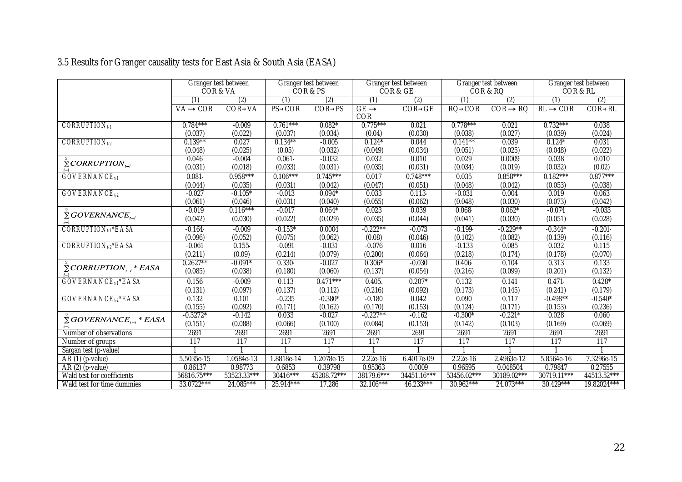## 3.5 Results for Granger causality tests for East Asia & South Asia (EASA)

|                                                         |                | Granger test between<br>COR & VA |               | Granger test between<br>COR&PS |             | Granger test between<br>COR & GE |               | Granger test between<br>COR & RQ | Granger test between<br>COR & RL |                |
|---------------------------------------------------------|----------------|----------------------------------|---------------|--------------------------------|-------------|----------------------------------|---------------|----------------------------------|----------------------------------|----------------|
|                                                         | (1)            | (2)                              | (1)           | (2)                            | (1)         | (2)                              | (1)           | (2)                              | (1)                              | (2)            |
|                                                         | <b>VA® COR</b> | <b>COR® VA</b>                   | <b>PS®COR</b> | <b>COR®PS</b>                  | GE          | <b>COR® GE</b>                   | <b>RO®COR</b> | COR® RQ                          | RL® COR                          | <b>COR® RL</b> |
|                                                         |                |                                  |               |                                | COR         |                                  |               |                                  |                                  |                |
| $CORRUPTION_{t-1}$                                      | $0.784***$     | $-0.009$                         | $0.761***$    | $0.082*$                       | $0.775***$  | 0.021                            | $0.778***$    | 0.021                            | $0.732***$                       | 0.038          |
|                                                         | (0.037)        | (0.022)                          | (0.037)       | (0.034)                        | (0.04)      | (0.030)                          | (0.038)       | (0.027)                          | (0.039)                          | (0.024)        |
| CORRUPTION <sub>t-2</sub>                               | $0.139***$     | 0.027                            | $0.134***$    | $-0.005$                       | $0.124*$    | 0.044                            | $0.141***$    | 0.039                            | $0.124*$                         | 0.031          |
|                                                         | (0.048)        | (0.025)                          | (0.05)        | (0.032)                        | (0.049)     | (0.034)                          | (0.051)       | (0.025)                          | (0.048)                          | (0.022)        |
| $\sum$ CORRUPTION <sub>t-i</sub>                        | 0.046          | $-0.004$                         | 0.061         | $-0.032$                       | 0.032       | 0.010                            | 0.029         | 0.0009                           | 0.038                            | 0.010          |
|                                                         | (0.031)        | (0.018)                          | (0.033)       | (0.031)                        | (0.035)     | (0.031)                          | (0.034)       | (0.019)                          | (0.032)                          | (0.02)         |
| <b>GOVERNANCE</b> <sub>t1</sub>                         | 0.081          | $0.958***$                       | $0.106***$    | $0.745***$                     | 0.017       | $0.748***$                       | 0.035         | $0.858***$                       | $0.182***$                       | $0.877***$     |
|                                                         | (0.044)        | (0.035)                          | (0.031)       | (0.042)                        | (0.047)     | (0.051)                          | (0.048)       | (0.042)                          | (0.053)                          | (0.038)        |
| <b>GOVERNANCE</b> <sub>t2</sub>                         | $-0.027$       | $-0.105*$                        | $-0.013$      | $0.094*$                       | 0.033       | 0.113                            | $-0.031$      | 0.004                            | 0.019                            | 0.063          |
|                                                         | (0.061)        | (0.046)                          | (0.031)       | (0.040)                        | (0.055)     | (0.062)                          | (0.048)       | (0.030)                          | (0.073)                          | (0.042)        |
| $\sum$ GOVERNANCE <sub>t-i</sub>                        | $-0.019$       | $0.116***$                       | $-0.017$      | $0.064*$                       | 0.023       | 0.039                            | 0.068         | $0.062*$                         | $-0.074$                         | $-0.033$       |
| $i=1$                                                   | (0.042)        | (0.030)                          | (0.022)       | (0.029)                        | (0.035)     | (0.044)                          | (0.041)       | (0.030)                          | (0.051)                          | (0.028)        |
| <b>CORRUPTION</b> <sub>1</sub> <sup>*</sup> EASA        | $-0.164$       | $-0.009$                         | $-0.153*$     | 0.0004                         | $-0.222**$  | $-0.073$                         | $-0.199$      | $-0.229**$                       | $-0.344*$                        | $-0.201$       |
|                                                         | (0.096)        | (0.052)                          | (0.075)       | (0.062)                        | (0.08)      | (0.046)                          | (0.102)       | (0.082)                          | (0.139)                          | (0.116)        |
| <b>CORRUPTION</b> <sub>1-2</sub> *EASA                  | $-0.061$       | 0.155                            | $-0.091$      | $-0.031$                       | $-0.076$    | 0.016                            | $-0.133$      | 0.085                            | 0.032                            | 0.115          |
|                                                         | (0.211)        | (0.09)                           | (0.214)       | (0.079)                        | (0.200)     | (0.064)                          | (0.218)       | (0.174)                          | (0.178)                          | (0.070)        |
|                                                         | $0.2627**$     | $-0.091*$                        | $0.330 -$     | $-0.027$                       | $0.306*$    | $-0.030$                         | 0.406         | 0.104                            | 0.313                            | 0.133          |
| $\sum$ CORRUPTION <sub><math>_{t-i}</math></sub> * EASA | (0.085)        | (0.038)                          | (0.180)       | (0.060)                        | (0.137)     | (0.054)                          | (0.216)       | (0.099)                          | (0.201)                          | (0.132)        |
| <b>GOVERNANCE</b> <sub>t1</sub> *EASA                   | 0.156          | $-0.009$                         | 0.113         | $0.471***$                     | 0.405.      | $0.207*$                         | 0.132         | 0.141                            | 0.471                            | $0.428*$       |
|                                                         | (0.131)        | (0.097)                          | (0.137)       | (0.112)                        | (0.216)     | (0.092)                          | (0.173)       | (0.145)                          | (0.241)                          | (0.179)        |
| GOVERNANCE <sub>t2</sub> *EASA                          | 0.132          | 0.101                            | $-0.235$      | $-0.380*$                      | $-0.180$    | 0.042                            | 0.090         | 0.117                            | $-0.498**$                       | $-0.540*$      |
|                                                         | (0.155)        | (0.092)                          | (0.171)       | (0.162)                        | (0.170)     | (0.153)                          | (0.124)       | (0.171)                          | (0.153)                          | (0.236)        |
| $\sum$ GOVERNANCE <sub>t-i</sub> * EASA                 | $-0.3272*$     | $-0.142$                         | 0.033         | $-0.027$                       | $-0.227**$  | $-0.162$                         | $-0.300*$     | $-0.221*$                        | 0.028                            | 0.060          |
| $i=1$                                                   | (0.151)        | (0.088)                          | (0.066)       | (0.100)                        | (0.084)     | (0.153)                          | (0.142)       | (0.103)                          | (0.169)                          | (0.069)        |
| Number of observations                                  | 2691           | 2691                             | 2691          | 2691                           | 2691        | 2691                             | 2691          | 2691                             | 2691                             | 2691           |
| Number of groups                                        | 117            | 117                              | 117           | 117                            | 117         | 117                              | 117           | 117                              | 117                              | 117            |
| Sargan test (p-value)                                   |                |                                  |               |                                |             |                                  |               |                                  |                                  |                |
| $AR(1)$ (p-value)                                       | 5.5035e-15     | 1.0584e-13                       | 1.8818e-14    | 1.2078e-15                     | 2.22e-16    | 6.4017e-09                       | 2.22e-16      | 2.4963e-12                       | 5.8564e-16                       | 7.3296e-15     |
| $AR(2)$ (p-value)                                       | 0.86137        | 0.98773                          | 0.6853        | 0.39798                        | 0.95363     | 0.0009                           | 0.96595       | 0.048504                         | 0.79847                          | 0.27555        |
| Wald test for coefficients                              | 56816.75***    | 53523.33***                      | 30416***      | 45208.72***                    | 38179.6***  | 34451.16***                      | 53456.02***   | 30189.02***                      | 30719.11***                      | 44513.52***    |
| Wald test for time dummies                              | 33.0722***     | 24.085***                        | 25.914***     | 17.286                         | $32.106***$ | $46.233***$                      | 30.962***     | 24.073***                        | 30.429***                        | 19.82024***    |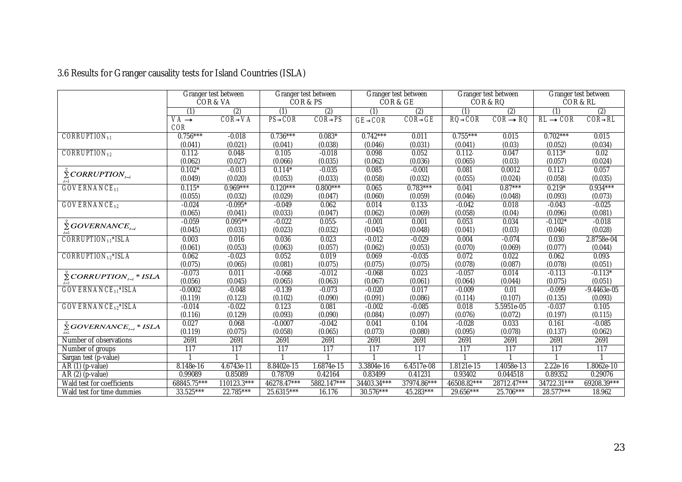|                                           | Granger test between<br>COR & VA<br>$\overline{(2)}$ |                | Granger test between<br>COR&PS<br>(2) |                | Granger test between<br>COR & GE |                       | Granger test between<br>COR & RQ<br>(1) |                                  | Granger test between<br>COR & RL<br>(1) |                       |
|-------------------------------------------|------------------------------------------------------|----------------|---------------------------------------|----------------|----------------------------------|-----------------------|-----------------------------------------|----------------------------------|-----------------------------------------|-----------------------|
|                                           |                                                      |                |                                       |                |                                  |                       |                                         |                                  |                                         |                       |
|                                           | (1)<br><b>VA®</b>                                    | <b>COR® VA</b> | (1)<br>PS® COR                        | <b>COR® PS</b> | (1)                              | (2)<br><b>COR® GE</b> | <b>RO® COR</b>                          | $\overline{2}$<br><b>COR® RQ</b> | <b>RL® COR</b>                          | (2)<br><b>COR® RL</b> |
|                                           | COR                                                  |                |                                       |                | <b>GE® COR</b>                   |                       |                                         |                                  |                                         |                       |
| $CORRUPTION_{t-1}$                        | $0.756***$                                           | $-0.018$       | $0.736***$                            | $0.083*$       | $0.742***$                       | 0.011                 | $0.755***$                              | 0.015                            | $0.702***$                              | 0.015                 |
|                                           | (0.041)                                              | (0.021)        | (0.041)                               | (0.038)        | (0.046)                          | (0.031)               | (0.041)                                 | (0.03)                           | (0.052)                                 | (0.034)               |
| CORRUPTION <sub>t-2</sub>                 | 0.112                                                | 0.048          | 0.105                                 | $-0.018$       | 0.098                            | 0.052                 | $0.112 -$                               | 0.047                            | $0.113*$                                | 0.02                  |
|                                           | (0.062)                                              | (0.027)        | (0.066)                               | (0.035)        | (0.062)                          | (0.036)               | (0.065)                                 | (0.03)                           | (0.057)                                 | (0.024)               |
| $\sum$ CORRUPTION <sub>t-i</sub><br>$i=1$ | $0.102*$                                             | $-0.013$       | $0.114*$                              | $-0.035$       | 0.085                            | $-0.001$              | 0.081                                   | 0.0012                           | 0.112                                   | 0.057                 |
|                                           | (0.049)                                              | (0.020)        | (0.053)                               | (0.033)        | (0.058)                          | (0.032)               | (0.055)                                 | (0.024)                          | (0.058)                                 | (0.035)               |
| <b>GOVERNANCE</b> <sub>t1</sub>           | $0.115*$                                             | $0.969***$     | $0.120***$                            | $0.800***$     | 0.065                            | $0.783***$            | 0.041                                   | $0.87***$                        | $0.219*$                                | $0.934***$            |
|                                           | (0.055)                                              | (0.032)        | (0.029)                               | (0.047)        | (0.060)                          | (0.059)               | (0.046)                                 | (0.048)                          | (0.093)                                 | (0.073)               |
| GOVERNANCE <sub>t2</sub>                  | $-0.024$                                             | $-0.095*$      | $-0.049$                              | 0.062          | 0.014                            | $0.133 -$             | $-0.042$                                | 0.018                            | $-0.043$                                | $-0.025$              |
|                                           | (0.065)                                              | (0.041)        | (0.033)                               | (0.047)        | (0.062)                          | (0.069)               | (0.058)                                 | (0.04)                           | (0.096)                                 | (0.081)               |
| $\tilde{\Sigma}$ GOVERNANCE,              | $-0.059$                                             | $0.095***$     | $-0.022$                              | 0.055          | $-0.001$                         | 0.001                 | 0.053                                   | 0.034                            | $-0.102*$                               | $-0.018$              |
|                                           | (0.045)                                              | (0.031)        | (0.023)                               | (0.032)        | (0.045)                          | (0.048)               | (0.041)                                 | (0.03)                           | (0.046)                                 | (0.028)               |
| CORRUPTION <sub>11</sub> *ISLA            | 0.003                                                | 0.016          | 0.036                                 | 0.023          | $-0.012$                         | $-0.029$              | 0.004                                   | $-0.074$                         | 0.030                                   | 2.8758e-04            |
|                                           | (0.061)                                              | (0.053)        | (0.063)                               | (0.057)        | (0.062)                          | (0.053)               | (0.070)                                 | (0.069)                          | (0.077)                                 | (0.044)               |
| CORRUPTION <sub>t-2</sub> *ISLA           | 0.062                                                | $-0.023$       | 0.052                                 | 0.019          | 0.069                            | $-0.035$              | 0.072                                   | 0.022                            | 0.062                                   | 0.093                 |
|                                           | (0.075)                                              | (0.065)        | (0.081)                               | (0.075)        | (0.075)                          | (0.075)               | (0.078)                                 | (0.087)                          | (0.078)                                 | (0.051)               |
| $\sum$ CORRUPTION <sub>t-i</sub> * ISLA   | $-0.073$                                             | 0.011          | $-0.068$                              | $-0.012$       | $-0.068$                         | 0.023                 | $-0.057$                                | 0.014                            | $-0.113$                                | $-0.113*$             |
|                                           | (0.056)                                              | (0.045)        | (0.065)                               | (0.063)        | (0.067)                          | (0.061)               | (0.064)                                 | (0.044)                          | (0.075)                                 | (0.051)               |
| <b>GOVERNANCE</b> <sub>t1</sub> *ISLA     | $-0.0002$                                            | $-0.048$       | $-0.139$                              | $-0.073$       | $-0.020$                         | 0.017                 | $-0.009$                                | 0.01                             | $-0.099$                                | $-9.4463e-05$         |
|                                           | (0.119)                                              | (0.123)        | (0.102)                               | (0.090)        | (0.091)                          | (0.086)               | (0.114)                                 | (0.107)                          | (0.135)                                 | (0.093)               |
| GOVERNANCE <sub>t2</sub> *ISLA            | $-0.014$                                             | $-0.022$       | 0.123                                 | 0.081          | $-0.002$                         | $-0.085$              | 0.018                                   | 5.5951e-05                       | $-0.037$                                | 0.105                 |
|                                           | (0.116)                                              | (0.129)        | (0.093)                               | (0.090)        | (0.084)                          | (0.097)               | (0.076)                                 | (0.072)                          | (0.197)                                 | (0.115)               |
| $\sum$ GOVERNANCE <sub>t-i</sub> * ISLA   | 0.027                                                | 0.068          | $-0.0007$                             | $-0.042$       | 0.041                            | 0.104                 | $-0.028$                                | 0.033                            | 0.161                                   | $-0.085$              |
|                                           | (0.119)                                              | (0.075)        | (0.058)                               | (0.065)        | (0.073)                          | (0.080)               | (0.095)                                 | (0.078)                          | (0.137)                                 | (0.062)               |
| Number of observations                    | 2691                                                 | 2691           | 2691                                  | 2691           | 2691                             | 2691                  | 2691                                    | 2691                             | 2691                                    | 2691                  |
| Number of groups                          | 117                                                  | 117            | 117                                   | 117            | 117                              | 117                   | 117                                     | 117                              | 117                                     | 117                   |
| Sargan test (p-value)                     |                                                      |                |                                       |                |                                  |                       |                                         |                                  |                                         |                       |
| $AR(1)$ (p-value)                         | 8.148e-16                                            | 4.6743e-11     | 8.8402e-15                            | 1.6874e-15     | 3.3804e-16                       | 6.4517e-08            | 1.8121e-15                              | 1.4058e-13                       | 2.22e-16                                | 1.8062e-10            |
| $AR(2)$ (p-value)                         | 0.99089                                              | 0.85089        | 0.78709                               | 0.42164        | 0.83499                          | 0.41231               | 0.93402                                 | 0.044518                         | 0.89352                                 | 0.29076               |
| Wald test for coefficients                | 68845.75***                                          | 110123.3***    | 46278.47***                           | 5882.147***    | 34403.34***                      | 37974.86***           | 46508.82***                             | 28712.47***                      | 34722.31***                             | 69208.39***           |
| Wald test for time dummies                | 33.525***                                            | 22.785***      | 25.6315***                            | 16.176         | $30.576***$                      | 45.283***             | 29.656***                               | 25.706***                        | 28.577***                               | 18.962                |

# 3.6 Results for Granger causality tests for Island Countries (ISLA)